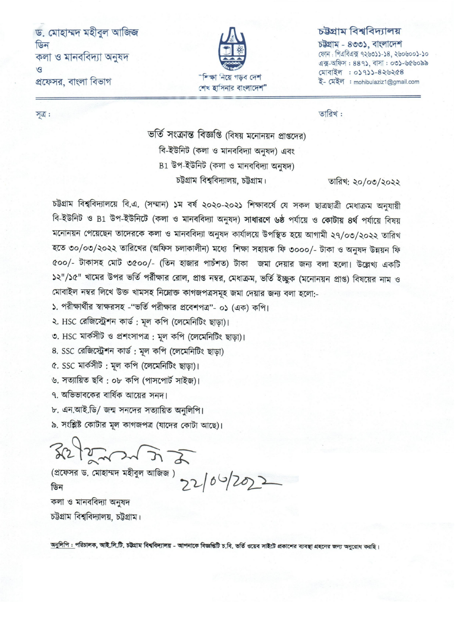ড. মোহাম্মদ মহীবুল আজিজ ডিন কলা ও মানববিদ্যা অনুষদ  $\mathcal{L}$ প্রফেসর, বাংলা বিভাগ



## চউগ্ৰাম বিশ্ববিদ্যালয়

চউগ্ৰাম - ৪৩৩১, বাংলাদেশ ফোন: পিএবিএক্স ৭২৬৩১১-১৪, ২৬০৬০০১-১০ এক্স-অফিস: 889), বাসা: ০৩১-৬৫৬০৯৯ মোবাইল : ০১৭১১-৪২৬২৫৪ ই- মেইল : mohibulaziz1@gmail.com

তারিখ:

ভর্তি সংক্রান্ত বিজ্ঞপ্তি (বিষয় মনোনয়ন প্রাপ্তদের) বি-ইউনিট (কলা ও মানববিদ্যা অনষদ) এবং B1 উপ-ইউনিট (কলা ও মানববিদ্যা অনুষদ) চউগ্রাম বিশ্ববিদ্যালয়, চউগ্রাম।

তারিখ: ২০/০৩/২০২২

চট্টগ্রাম বিশ্ববিদ্যালয়ে বি.এ. (সম্মান) ১ম বর্ষ ২০২০-২০২১ শিক্ষাবর্ষে যে সকল ছাত্রছাত্রী মেধাক্রম অনুযায়ী বি-ইউনিট ও B1 উপ-ইউনিটে (কলা ও মানববিদ্যা অনুষদ) সাধারণে ৬ষ্ঠ পর্যায়ে ও কোটায় ৪র্থ পর্যায়ে বিষয় মনোনয়ন পেয়েছেন তাদেরকে কলা ও মানববিদ্যা অনুষদ কার্যালয়ে উপস্থিত হয়ে আগামী ২৭/০৩/২০২২ তারিখ হতে ৩০/০৩/২০২২ তারিখের (অফিস চলাকালীন) মধ্যে শিক্ষা সহায়ক ফি ৩০০০/- টাকা ও অনুষদ উন্নয়ন ফি ৫০০/- টাকাসহ মোট ৩৫০০/- (তিন হাজার পাচঁশত) টাকা জমা দেয়ার জন্য বলা হলো। উল্লেখ্য একটি ১২"/১৫" খামের উপর ভর্তি পর্রীক্ষার রোল, প্রাপ্ত নম্বর, মেধাক্রম, ভর্তি ইচ্ছুক (মনোনয়ন প্রাপ্ত) বিষয়ের নাম ও মোবাইল নম্বর লিখে উক্ত খামসহ নিম্নোক্ত কাগজপত্রসমূহ জমা দেয়ার জন্য বলা হলো:-

১. পরীক্ষার্থীর স্বাক্ষরসহ -"ভর্তি পরীক্ষার প্রবেশপত্র"- ০১ (এক) কপি।

২. HSC রেজিস্ট্রেশন কার্ড; মূল কপি (লেমেনিটিং ছাড়া)।

৩. HSC মাৰ্কসীট ও প্ৰশংসাপত্ৰ : মূল কপি (লেমেনিটিং ছাডা)।

8. SSC রেজিস্ট্রেশন কার্ড: মূল কপি (লেমেনিটিং ছাড়া)

৫. SSC মার্কসীট: মূল কপি (লেমেনিটিং ছাড়া)।

৬. সত্যায়িত ছবি : ০৮ কপি (পাসপোর্ট সাইজ)।

৭. অভিভাবকের বার্ষিক আয়ের সনদ।

৮. এন.আই.ডি/ জন্ম সনদের সত্যায়িত অনুলিপি।

৯. সংশ্লিষ্ট কোটার মূল কাগজপত্র (যাদের কোটা আছে)।

 $322222222222$ 

(প্রফেসর ড. মোহাম্মদ মহীবুল আজিজ) >>  $(6\frac{1}{20})$ কলা ও মানববিদ্যা অনুষদ

চউগ্রাম বিশ্ববিদ্যালয়, চউগ্রাম।

অনুলিপি : পরিচালক, আই.সি.টি. চট্টগ্রাম বিশ্ববিদ্যালয় - আপনাকে বিজ্ঞপ্তিটি চ.বি. ভর্তি ওয়েব সাইটে প্রকাশের ব্যবস্থা গ্রহনের জন্য অনুরোধ করছি।

সূত্র :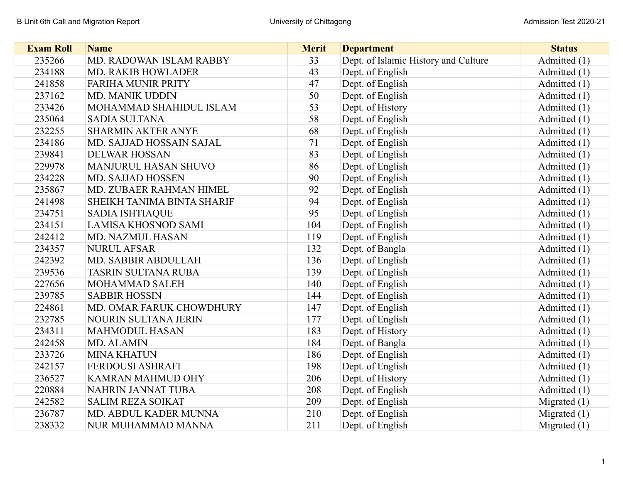| <b>Exam Roll</b> | <b>Name</b>                 | <b>Merit</b> | <b>Department</b>                    | <b>Status</b>  |
|------------------|-----------------------------|--------------|--------------------------------------|----------------|
| 235266           | MD. RADOWAN ISLAM RABBY     | 33           | Dept. of Islamic History and Culture | Admitted (1)   |
| 234188           | <b>MD. RAKIB HOWLADER</b>   | 43           | Dept. of English                     | Admitted (1)   |
| 241858           | <b>FARIHA MUNIR PRITY</b>   | 47           | Dept. of English                     | Admitted (1)   |
| 237162           | MD. MANIK UDDIN             | 50           | Dept. of English                     | Admitted (1)   |
| 233426           | MOHAMMAD SHAHIDUL ISLAM     | 53           | Dept. of History                     | Admitted (1)   |
| 235064           | <b>SADIA SULTANA</b>        | 58           | Dept. of English                     | Admitted (1)   |
| 232255           | <b>SHARMIN AKTER ANYE</b>   | 68           | Dept. of English                     | Admitted (1)   |
| 234186           | MD. SAJJAD HOSSAIN SAJAL    | 71           | Dept. of English                     | Admitted (1)   |
| 239841           | <b>DELWAR HOSSAN</b>        | 83           | Dept. of English                     | Admitted (1)   |
| 229978           | <b>MANJURUL HASAN SHUVO</b> | 86           | Dept. of English                     | Admitted (1)   |
| 234228           | MD. SAJJAD HOSSEN           | 90           | Dept. of English                     | Admitted (1)   |
| 235867           | MD. ZUBAER RAHMAN HIMEL     | 92           | Dept. of English                     | Admitted (1)   |
| 241498           | SHEIKH TANIMA BINTA SHARIF  | 94           | Dept. of English                     | Admitted (1)   |
| 234751           | <b>SADIA ISHTIAQUE</b>      | 95           | Dept. of English                     | Admitted (1)   |
| 234151           | <b>LAMISA KHOSNOD SAMI</b>  | 104          | Dept. of English                     | Admitted (1)   |
| 242412           | MD. NAZMUL HASAN            | 119          | Dept. of English                     | Admitted (1)   |
| 234357           | <b>NURUL AFSAR</b>          | 132          | Dept. of Bangla                      | Admitted (1)   |
| 242392           | MD. SABBIR ABDULLAH         | 136          | Dept. of English                     | Admitted (1)   |
| 239536           | <b>TASRIN SULTANA RUBA</b>  | 139          | Dept. of English                     | Admitted (1)   |
| 227656           | <b>MOHAMMAD SALEH</b>       | 140          | Dept. of English                     | Admitted (1)   |
| 239785           | <b>SABBIR HOSSIN</b>        | 144          | Dept. of English                     | Admitted (1)   |
| 224861           | MD. OMAR FARUK CHOWDHURY    | 147          | Dept. of English                     | Admitted (1)   |
| 232785           | NOURIN SULTANA JERIN        | 177          | Dept. of English                     | Admitted (1)   |
| 234311           | <b>MAHMODUL HASAN</b>       | 183          | Dept. of History                     | Admitted (1)   |
| 242458           | MD. ALAMIN                  | 184          | Dept. of Bangla                      | Admitted (1)   |
| 233726           | <b>MINA KHATUN</b>          | 186          | Dept. of English                     | Admitted (1)   |
| 242157           | FERDOUSI ASHRAFI            | 198          | Dept. of English                     | Admitted (1)   |
| 236527           | KAMRAN MAHMUD OHY           | 206          | Dept. of History                     | Admitted (1)   |
| 220884           | NAHRIN JANNAT TUBA          | 208          | Dept. of English                     | Admitted (1)   |
| 242582           | <b>SALIM REZA SOIKAT</b>    | 209          | Dept. of English                     | Migrated $(1)$ |
| 236787           | MD. ABDUL KADER MUNNA       | 210          | Dept. of English                     | Migrated $(1)$ |
| 238332           | NUR MUHAMMAD MANNA          | 211          | Dept. of English                     | Migrated $(1)$ |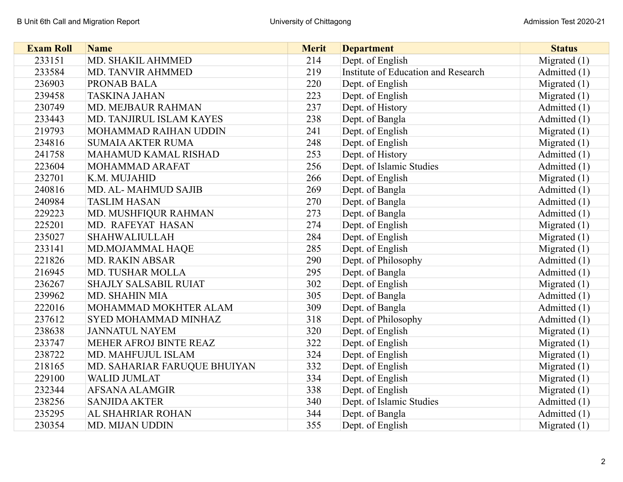| <b>Exam Roll</b> | <b>Name</b>                  | <b>Merit</b> | <b>Department</b>                   | <b>Status</b>  |
|------------------|------------------------------|--------------|-------------------------------------|----------------|
| 233151           | MD. SHAKIL AHMMED            | 214          | Dept. of English                    | Migrated $(1)$ |
| 233584           | <b>MD. TANVIR AHMMED</b>     | 219          | Institute of Education and Research | Admitted (1)   |
| 236903           | PRONAB BALA                  | 220          | Dept. of English                    | Migrated $(1)$ |
| 239458           | <b>TASKINA JAHAN</b>         | 223          | Dept. of English                    | Migrated $(1)$ |
| 230749           | MD. MEJBAUR RAHMAN           | 237          | Dept. of History                    | Admitted (1)   |
| 233443           | MD. TANJIRUL ISLAM KAYES     | 238          | Dept. of Bangla                     | Admitted (1)   |
| 219793           | MOHAMMAD RAIHAN UDDIN        | 241          | Dept. of English                    | Migrated $(1)$ |
| 234816           | <b>SUMAIA AKTER RUMA</b>     | 248          | Dept. of English                    | Migrated $(1)$ |
| 241758           | MAHAMUD KAMAL RISHAD         | 253          | Dept. of History                    | Admitted (1)   |
| 223604           | MOHAMMAD ARAFAT              | 256          | Dept. of Islamic Studies            | Admitted (1)   |
| 232701           | K.M. MUJAHID                 | 266          | Dept. of English                    | Migrated $(1)$ |
| 240816           | MD. AL-MAHMUD SAJIB          | 269          | Dept. of Bangla                     | Admitted (1)   |
| 240984           | <b>TASLIM HASAN</b>          | 270          | Dept. of Bangla                     | Admitted (1)   |
| 229223           | MD. MUSHFIQUR RAHMAN         | 273          | Dept. of Bangla                     | Admitted $(1)$ |
| 225201           | MD. RAFEYAT HASAN            | 274          | Dept. of English                    | Migrated $(1)$ |
| 235027           | SHAHWALIULLAH                | 284          | Dept. of English                    | Migrated $(1)$ |
| 233141           | MD.MOJAMMAL HAQE             | 285          | Dept. of English                    | Migrated $(1)$ |
| 221826           | MD. RAKIN ABSAR              | 290          | Dept. of Philosophy                 | Admitted (1)   |
| 216945           | MD. TUSHAR MOLLA             | 295          | Dept. of Bangla                     | Admitted (1)   |
| 236267           | <b>SHAJLY SALSABIL RUIAT</b> | 302          | Dept. of English                    | Migrated $(1)$ |
| 239962           | <b>MD. SHAHIN MIA</b>        | 305          | Dept. of Bangla                     | Admitted (1)   |
| 222016           | MOHAMMAD MOKHTER ALAM        | 309          | Dept. of Bangla                     | Admitted (1)   |
| 237612           | <b>SYED MOHAMMAD MINHAZ</b>  | 318          | Dept. of Philosophy                 | Admitted (1)   |
| 238638           | <b>JANNATUL NAYEM</b>        | 320          | Dept. of English                    | Migrated $(1)$ |
| 233747           | MEHER AFROJ BINTE REAZ       | 322          | Dept. of English                    | Migrated $(1)$ |
| 238722           | MD. MAHFUJUL ISLAM           | 324          | Dept. of English                    | Migrated $(1)$ |
| 218165           | MD. SAHARIAR FARUQUE BHUIYAN | 332          | Dept. of English                    | Migrated $(1)$ |
| 229100           | <b>WALID JUMLAT</b>          | 334          | Dept. of English                    | Migrated $(1)$ |
| 232344           | <b>AFSANA ALAMGIR</b>        | 338          | Dept. of English                    | Migrated $(1)$ |
| 238256           | <b>SANJIDA AKTER</b>         | 340          | Dept. of Islamic Studies            | Admitted (1)   |
| 235295           | AL SHAHRIAR ROHAN            | 344          | Dept. of Bangla                     | Admitted (1)   |
| 230354           | MD. MIJAN UDDIN              | 355          | Dept. of English                    | Migrated $(1)$ |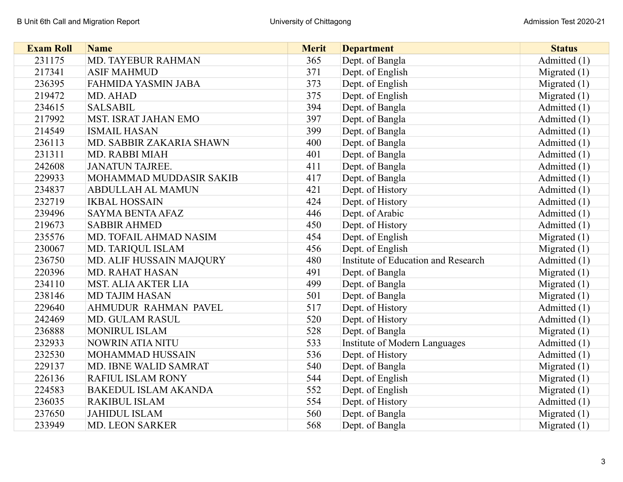| <b>Exam Roll</b> | <b>Name</b>                 | <b>Merit</b> | <b>Department</b>                    | <b>Status</b>  |
|------------------|-----------------------------|--------------|--------------------------------------|----------------|
| 231175           | MD. TAYEBUR RAHMAN          | 365          | Dept. of Bangla                      | Admitted (1)   |
| 217341           | <b>ASIF MAHMUD</b>          | 371          | Dept. of English                     | Migrated $(1)$ |
| 236395           | <b>FAHMIDA YASMIN JABA</b>  | 373          | Dept. of English                     | Migrated $(1)$ |
| 219472           | MD. AHAD                    | 375          | Dept. of English                     | Migrated $(1)$ |
| 234615           | <b>SALSABIL</b>             | 394          | Dept. of Bangla                      | Admitted (1)   |
| 217992           | MST. ISRAT JAHAN EMO        | 397          | Dept. of Bangla                      | Admitted (1)   |
| 214549           | <b>ISMAIL HASAN</b>         | 399          | Dept. of Bangla                      | Admitted (1)   |
| 236113           | MD. SABBIR ZAKARIA SHAWN    | 400          | Dept. of Bangla                      | Admitted (1)   |
| 231311           | MD. RABBI MIAH              | 401          | Dept. of Bangla                      | Admitted (1)   |
| 242608           | <b>JANATUN TAJREE.</b>      | 411          | Dept. of Bangla                      | Admitted (1)   |
| 229933           | MOHAMMAD MUDDASIR SAKIB     | 417          | Dept. of Bangla                      | Admitted (1)   |
| 234837           | <b>ABDULLAH AL MAMUN</b>    | 421          | Dept. of History                     | Admitted (1)   |
| 232719           | <b>IKBAL HOSSAIN</b>        | 424          | Dept. of History                     | Admitted (1)   |
| 239496           | <b>SAYMA BENTA AFAZ</b>     | 446          | Dept. of Arabic                      | Admitted (1)   |
| 219673           | <b>SABBIR AHMED</b>         | 450          | Dept. of History                     | Admitted (1)   |
| 235576           | MD. TOFAIL AHMAD NASIM      | 454          | Dept. of English                     | Migrated $(1)$ |
| 230067           | MD. TARIQUL ISLAM           | 456          | Dept. of English                     | Migrated $(1)$ |
| 236750           | MD. ALIF HUSSAIN MAJQURY    | 480          | Institute of Education and Research  | Admitted (1)   |
| 220396           | <b>MD. RAHAT HASAN</b>      | 491          | Dept. of Bangla                      | Migrated $(1)$ |
| 234110           | <b>MST. ALIA AKTER LIA</b>  | 499          | Dept. of Bangla                      | Migrated $(1)$ |
| 238146           | <b>MD TAJIM HASAN</b>       | 501          | Dept. of Bangla                      | Migrated $(1)$ |
| 229640           | <b>AHMUDUR RAHMAN PAVEL</b> | 517          | Dept. of History                     | Admitted (1)   |
| 242469           | <b>MD. GULAM RASUL</b>      | 520          | Dept. of History                     | Admitted (1)   |
| 236888           | MONIRUL ISLAM               | 528          | Dept. of Bangla                      | Migrated $(1)$ |
| 232933           | NOWRIN ATIA NITU            | 533          | <b>Institute of Modern Languages</b> | Admitted (1)   |
| 232530           | <b>MOHAMMAD HUSSAIN</b>     | 536          | Dept. of History                     | Admitted (1)   |
| 229137           | MD. IBNE WALID SAMRAT       | 540          | Dept. of Bangla                      | Migrated $(1)$ |
| 226136           | <b>RAFIUL ISLAM RONY</b>    | 544          | Dept. of English                     | Migrated $(1)$ |
| 224583           | <b>BAKEDUL ISLAM AKANDA</b> | 552          | Dept. of English                     | Migrated $(1)$ |
| 236035           | <b>RAKIBUL ISLAM</b>        | 554          | Dept. of History                     | Admitted (1)   |
| 237650           | <b>JAHIDUL ISLAM</b>        | 560          | Dept. of Bangla                      | Migrated $(1)$ |
| 233949           | <b>MD. LEON SARKER</b>      | 568          | Dept. of Bangla                      | Migrated $(1)$ |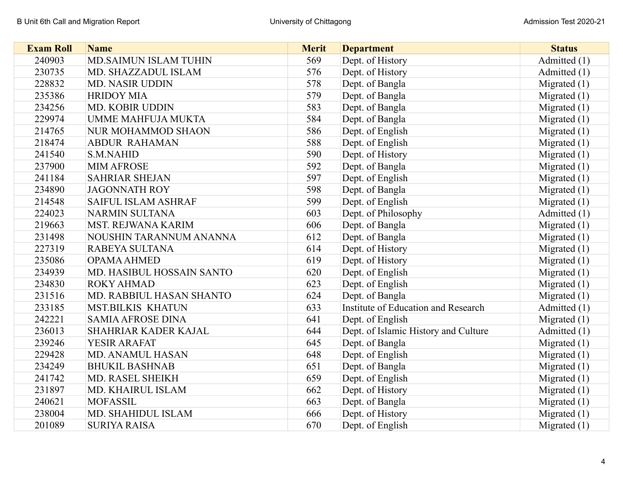| <b>Exam Roll</b> | <b>Name</b>                | <b>Merit</b> | <b>Department</b>                    | <b>Status</b>  |
|------------------|----------------------------|--------------|--------------------------------------|----------------|
| 240903           | MD.SAIMUN ISLAM TUHIN      | 569          | Dept. of History                     | Admitted (1)   |
| 230735           | MD. SHAZZADUL ISLAM        | 576          | Dept. of History                     | Admitted (1)   |
| 228832           | <b>MD. NASIR UDDIN</b>     | 578          | Dept. of Bangla                      | Migrated $(1)$ |
| 235386           | <b>HRIDOY MIA</b>          | 579          | Dept. of Bangla                      | Migrated $(1)$ |
| 234256           | MD. KOBIR UDDIN            | 583          | Dept. of Bangla                      | Migrated $(1)$ |
| 229974           | <b>UMME MAHFUJA MUKTA</b>  | 584          | Dept. of Bangla                      | Migrated $(1)$ |
| 214765           | <b>NUR MOHAMMOD SHAON</b>  | 586          | Dept. of English                     | Migrated $(1)$ |
| 218474           | <b>ABDUR RAHAMAN</b>       | 588          | Dept. of English                     | Migrated $(1)$ |
| 241540           | <b>S.M.NAHID</b>           | 590          | Dept. of History                     | Migrated $(1)$ |
| 237900           | <b>MIM AFROSE</b>          | 592          | Dept. of Bangla                      | Migrated $(1)$ |
| 241184           | <b>SAHRIAR SHEJAN</b>      | 597          | Dept. of English                     | Migrated $(1)$ |
| 234890           | <b>JAGONNATH ROY</b>       | 598          | Dept. of Bangla                      | Migrated $(1)$ |
| 214548           | <b>SAIFUL ISLAM ASHRAF</b> | 599          | Dept. of English                     | Migrated $(1)$ |
| 224023           | <b>NARMIN SULTANA</b>      | 603          | Dept. of Philosophy                  | Admitted (1)   |
| 219663           | MST. REJWANA KARIM         | 606          | Dept. of Bangla                      | Migrated $(1)$ |
| 231498           | NOUSHIN TARANNUM ANANNA    | 612          | Dept. of Bangla                      | Migrated $(1)$ |
| 227319           | RABEYA SULTANA             | 614          | Dept. of History                     | Migrated $(1)$ |
| 235086           | <b>OPAMA AHMED</b>         | 619          | Dept. of History                     | Migrated $(1)$ |
| 234939           | MD. HASIBUL HOSSAIN SANTO  | 620          | Dept. of English                     | Migrated $(1)$ |
| 234830           | <b>ROKY AHMAD</b>          | 623          | Dept. of English                     | Migrated $(1)$ |
| 231516           | MD. RABBIUL HASAN SHANTO   | 624          | Dept. of Bangla                      | Migrated $(1)$ |
| 233185           | <b>MST.BILKIS KHATUN</b>   | 633          | Institute of Education and Research  | Admitted (1)   |
| 242221           | <b>SAMIA AFROSE DINA</b>   | 641          | Dept. of English                     | Migrated $(1)$ |
| 236013           | SHAHRIAR KADER KAJAL       | 644          | Dept. of Islamic History and Culture | Admitted (1)   |
| 239246           | YESIR ARAFAT               | 645          | Dept. of Bangla                      | Migrated $(1)$ |
| 229428           | MD. ANAMUL HASAN           | 648          | Dept. of English                     | Migrated $(1)$ |
| 234249           | <b>BHUKIL BASHNAB</b>      | 651          | Dept. of Bangla                      | Migrated $(1)$ |
| 241742           | MD. RASEL SHEIKH           | 659          | Dept. of English                     | Migrated $(1)$ |
| 231897           | MD. KHAIRUL ISLAM          | 662          | Dept. of History                     | Migrated $(1)$ |
| 240621           | <b>MOFASSIL</b>            | 663          | Dept. of Bangla                      | Migrated $(1)$ |
| 238004           | MD. SHAHIDUL ISLAM         | 666          | Dept. of History                     | Migrated $(1)$ |
| 201089           | <b>SURIYA RAISA</b>        | 670          | Dept. of English                     | Migrated $(1)$ |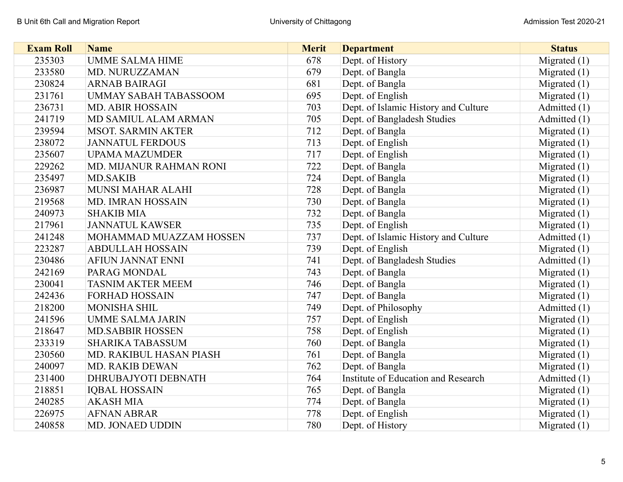| <b>Exam Roll</b> | <b>Name</b>                  | <b>Merit</b> | <b>Department</b>                    | <b>Status</b>  |
|------------------|------------------------------|--------------|--------------------------------------|----------------|
| 235303           | <b>UMME SALMA HIME</b>       | 678          | Dept. of History                     | Migrated $(1)$ |
| 233580           | MD. NURUZZAMAN               | 679          | Dept. of Bangla                      | Migrated $(1)$ |
| 230824           | <b>ARNAB BAIRAGI</b>         | 681          | Dept. of Bangla                      | Migrated $(1)$ |
| 231761           | <b>UMMAY SABAH TABASSOOM</b> | 695          | Dept. of English                     | Migrated $(1)$ |
| 236731           | <b>MD. ABIR HOSSAIN</b>      | 703          | Dept. of Islamic History and Culture | Admitted (1)   |
| 241719           | MD SAMIUL ALAM ARMAN         | 705          | Dept. of Bangladesh Studies          | Admitted (1)   |
| 239594           | <b>MSOT. SARMIN AKTER</b>    | 712          | Dept. of Bangla                      | Migrated $(1)$ |
| 238072           | <b>JANNATUL FERDOUS</b>      | 713          | Dept. of English                     | Migrated $(1)$ |
| 235607           | <b>UPAMA MAZUMDER</b>        | 717          | Dept. of English                     | Migrated $(1)$ |
| 229262           | MD. MIJANUR RAHMAN RONI      | 722          | Dept. of Bangla                      | Migrated $(1)$ |
| 235497           | <b>MD.SAKIB</b>              | 724          | Dept. of Bangla                      | Migrated $(1)$ |
| 236987           | MUNSI MAHAR ALAHI            | 728          | Dept. of Bangla                      | Migrated $(1)$ |
| 219568           | MD. IMRAN HOSSAIN            | 730          | Dept. of Bangla                      | Migrated $(1)$ |
| 240973           | <b>SHAKIB MIA</b>            | 732          | Dept. of Bangla                      | Migrated $(1)$ |
| 217961           | <b>JANNATUL KAWSER</b>       | 735          | Dept. of English                     | Migrated $(1)$ |
| 241248           | MOHAMMAD MUAZZAM HOSSEN      | 737          | Dept. of Islamic History and Culture | Admitted (1)   |
| 223287           | <b>ABDULLAH HOSSAIN</b>      | 739          | Dept. of English                     | Migrated $(1)$ |
| 230486           | <b>AFIUN JANNAT ENNI</b>     | 741          | Dept. of Bangladesh Studies          | Admitted (1)   |
| 242169           | PARAG MONDAL                 | 743          | Dept. of Bangla                      | Migrated $(1)$ |
| 230041           | <b>TASNIM AKTER MEEM</b>     | 746          | Dept. of Bangla                      | Migrated $(1)$ |
| 242436           | <b>FORHAD HOSSAIN</b>        | 747          | Dept. of Bangla                      | Migrated $(1)$ |
| 218200           | <b>MONISHA SHIL</b>          | 749          | Dept. of Philosophy                  | Admitted (1)   |
| 241596           | <b>UMME SALMA JARIN</b>      | 757          | Dept. of English                     | Migrated $(1)$ |
| 218647           | <b>MD.SABBIR HOSSEN</b>      | 758          | Dept. of English                     | Migrated $(1)$ |
| 233319           | <b>SHARIKA TABASSUM</b>      | 760          | Dept. of Bangla                      | Migrated $(1)$ |
| 230560           | MD. RAKIBUL HASAN PIASH      | 761          | Dept. of Bangla                      | Migrated $(1)$ |
| 240097           | <b>MD. RAKIB DEWAN</b>       | 762          | Dept. of Bangla                      | Migrated $(1)$ |
| 231400           | DHRUBAJYOTI DEBNATH          | 764          | Institute of Education and Research  | Admitted (1)   |
| 218851           | <b>IQBAL HOSSAIN</b>         | 765          | Dept. of Bangla                      | Migrated $(1)$ |
| 240285           | <b>AKASH MIA</b>             | 774          | Dept. of Bangla                      | Migrated $(1)$ |
| 226975           | <b>AFNAN ABRAR</b>           | 778          | Dept. of English                     | Migrated $(1)$ |
| 240858           | <b>MD. JONAED UDDIN</b>      | 780          | Dept. of History                     | Migrated $(1)$ |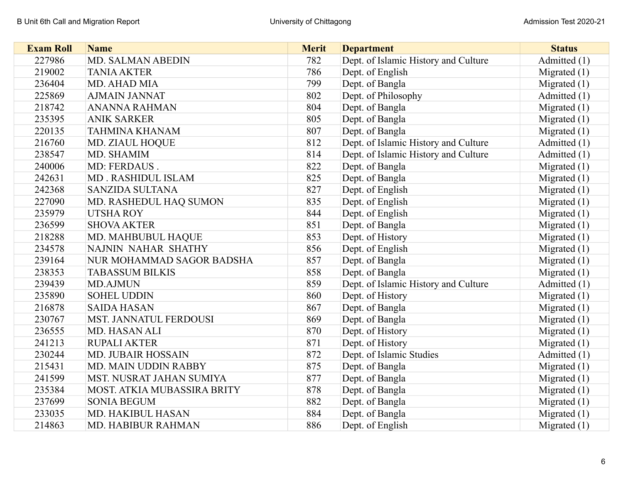| <b>Exam Roll</b> | <b>Name</b>                 | <b>Merit</b> | <b>Department</b>                    | <b>Status</b>  |
|------------------|-----------------------------|--------------|--------------------------------------|----------------|
| 227986           | MD. SALMAN ABEDIN           | 782          | Dept. of Islamic History and Culture | Admitted (1)   |
| 219002           | <b>TANIA AKTER</b>          | 786          | Dept. of English                     | Migrated $(1)$ |
| 236404           | MD. AHAD MIA                | 799          | Dept. of Bangla                      | Migrated $(1)$ |
| 225869           | <b>AJMAIN JANNAT</b>        | 802          | Dept. of Philosophy                  | Admitted (1)   |
| 218742           | <b>ANANNA RAHMAN</b>        | 804          | Dept. of Bangla                      | Migrated $(1)$ |
| 235395           | <b>ANIK SARKER</b>          | 805          | Dept. of Bangla                      | Migrated $(1)$ |
| 220135           | <b>TAHMINA KHANAM</b>       | 807          | Dept. of Bangla                      | Migrated $(1)$ |
| 216760           | MD. ZIAUL HOQUE             | 812          | Dept. of Islamic History and Culture | Admitted (1)   |
| 238547           | MD. SHAMIM                  | 814          | Dept. of Islamic History and Culture | Admitted (1)   |
| 240006           | MD: FERDAUS.                | 822          | Dept. of Bangla                      | Migrated $(1)$ |
| 242631           | MD. RASHIDUL ISLAM          | 825          | Dept. of Bangla                      | Migrated $(1)$ |
| 242368           | <b>SANZIDA SULTANA</b>      | 827          | Dept. of English                     | Migrated $(1)$ |
| 227090           | MD. RASHEDUL HAQ SUMON      | 835          | Dept. of English                     | Migrated $(1)$ |
| 235979           | <b>UTSHAROY</b>             | 844          | Dept. of English                     | Migrated $(1)$ |
| 236599           | <b>SHOVA AKTER</b>          | 851          | Dept. of Bangla                      | Migrated $(1)$ |
| 218288           | MD. MAHBUBUL HAQUE          | 853          | Dept. of History                     | Migrated $(1)$ |
| 234578           | NAJNIN NAHAR SHATHY         | 856          | Dept. of English                     | Migrated $(1)$ |
| 239164           | NUR MOHAMMAD SAGOR BADSHA   | 857          | Dept. of Bangla                      | Migrated $(1)$ |
| 238353           | <b>TABASSUM BILKIS</b>      | 858          | Dept. of Bangla                      | Migrated $(1)$ |
| 239439           | <b>MD.AJMUN</b>             | 859          | Dept. of Islamic History and Culture | Admitted (1)   |
| 235890           | <b>SOHEL UDDIN</b>          | 860          | Dept. of History                     | Migrated $(1)$ |
| 216878           | <b>SAIDA HASAN</b>          | 867          | Dept. of Bangla                      | Migrated $(1)$ |
| 230767           | MST. JANNATUL FERDOUSI      | 869          | Dept. of Bangla                      | Migrated $(1)$ |
| 236555           | MD. HASAN ALI               | 870          | Dept. of History                     | Migrated $(1)$ |
| 241213           | <b>RUPALI AKTER</b>         | 871          | Dept. of History                     | Migrated $(1)$ |
| 230244           | <b>MD. JUBAIR HOSSAIN</b>   | 872          | Dept. of Islamic Studies             | Admitted (1)   |
| 215431           | <b>MD. MAIN UDDIN RABBY</b> | 875          | Dept. of Bangla                      | Migrated $(1)$ |
| 241599           | MST. NUSRAT JAHAN SUMIYA    | 877          | Dept. of Bangla                      | Migrated $(1)$ |
| 235384           | MOST. ATKIA MUBASSIRA BRITY | 878          | Dept. of Bangla                      | Migrated $(1)$ |
| 237699           | <b>SONIA BEGUM</b>          | 882          | Dept. of Bangla                      | Migrated $(1)$ |
| 233035           | MD. HAKIBUL HASAN           | 884          | Dept. of Bangla                      | Migrated $(1)$ |
| 214863           | MD. HABIBUR RAHMAN          | 886          | Dept. of English                     | Migrated $(1)$ |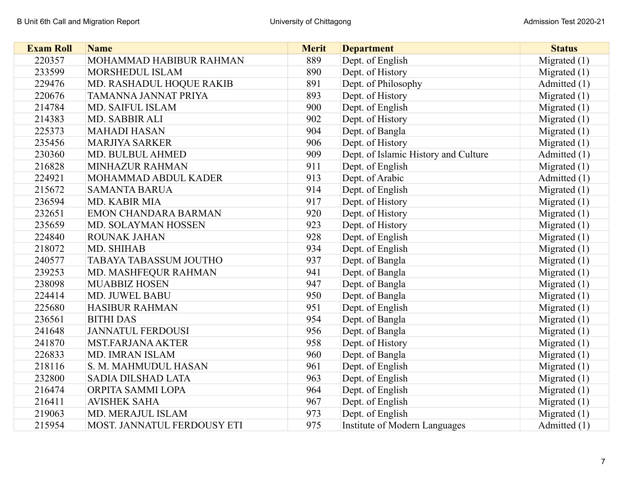| <b>Exam Roll</b> | <b>Name</b>                   | <b>Merit</b> | <b>Department</b>                    | <b>Status</b>  |
|------------------|-------------------------------|--------------|--------------------------------------|----------------|
| 220357           | MOHAMMAD HABIBUR RAHMAN       | 889          | Dept. of English                     | Migrated (1)   |
| 233599           | MORSHEDUL ISLAM               | 890          | Dept. of History                     | Migrated $(1)$ |
| 229476           | MD. RASHADUL HOQUE RAKIB      | 891          | Dept. of Philosophy                  | Admitted (1)   |
| 220676           | TAMANNA JANNAT PRIYA          | 893          | Dept. of History                     | Migrated $(1)$ |
| 214784           | MD. SAIFUL ISLAM              | 900          | Dept. of English                     | Migrated $(1)$ |
| 214383           | MD. SABBIR ALI                | 902          | Dept. of History                     | Migrated $(1)$ |
| 225373           | <b>MAHADI HASAN</b>           | 904          | Dept. of Bangla                      | Migrated $(1)$ |
| 235456           | <b>MARJIYA SARKER</b>         | 906          | Dept. of History                     | Migrated $(1)$ |
| 230360           | MD. BULBUL AHMED              | 909          | Dept. of Islamic History and Culture | Admitted (1)   |
| 216828           | MINHAZUR RAHMAN               | 911          | Dept. of English                     | Migrated $(1)$ |
| 224921           | MOHAMMAD ABDUL KADER          | 913          | Dept. of Arabic                      | Admitted (1)   |
| 215672           | <b>SAMANTA BARUA</b>          | 914          | Dept. of English                     | Migrated $(1)$ |
| 236594           | MD. KABIR MIA                 | 917          | Dept. of History                     | Migrated $(1)$ |
| 232651           | <b>EMON CHANDARA BARMAN</b>   | 920          | Dept. of History                     | Migrated $(1)$ |
| 235659           | MD. SOLAYMAN HOSSEN           | 923          | Dept. of History                     | Migrated $(1)$ |
| 224840           | ROUNAK JAHAN                  | 928          | Dept. of English                     | Migrated $(1)$ |
| 218072           | MD. SHIHAB                    | 934          | Dept. of English                     | Migrated $(1)$ |
| 240577           | <b>TABAYA TABASSUM JOUTHO</b> | 937          | Dept. of Bangla                      | Migrated $(1)$ |
| 239253           | MD. MASHFEQUR RAHMAN          | 941          | Dept. of Bangla                      | Migrated $(1)$ |
| 238098           | <b>MUABBIZ HOSEN</b>          | 947          | Dept. of Bangla                      | Migrated $(1)$ |
| 224414           | MD. JUWEL BABU                | 950          | Dept. of Bangla                      | Migrated $(1)$ |
| 225680           | <b>HASIBUR RAHMAN</b>         | 951          | Dept. of English                     | Migrated $(1)$ |
| 236561           | <b>BITHI DAS</b>              | 954          | Dept. of Bangla                      | Migrated $(1)$ |
| 241648           | <b>JANNATUL FERDOUSI</b>      | 956          | Dept. of Bangla                      | Migrated $(1)$ |
| 241870           | <b>MST.FARJANA AKTER</b>      | 958          | Dept. of History                     | Migrated $(1)$ |
| 226833           | MD. IMRAN ISLAM               | 960          | Dept. of Bangla                      | Migrated $(1)$ |
| 218116           | S. M. MAHMUDUL HASAN          | 961          | Dept. of English                     | Migrated $(1)$ |
| 232800           | <b>SADIA DILSHAD LATA</b>     | 963          | Dept. of English                     | Migrated $(1)$ |
| 216474           | ORPITA SAMMI LOPA             | 964          | Dept. of English                     | Migrated $(1)$ |
| 216411           | <b>AVISHEK SAHA</b>           | 967          | Dept. of English                     | Migrated $(1)$ |
| 219063           | MD. MERAJUL ISLAM             | 973          | Dept. of English                     | Migrated $(1)$ |
| 215954           | MOST. JANNATUL FERDOUSY ETI   | 975          | <b>Institute of Modern Languages</b> | Admitted (1)   |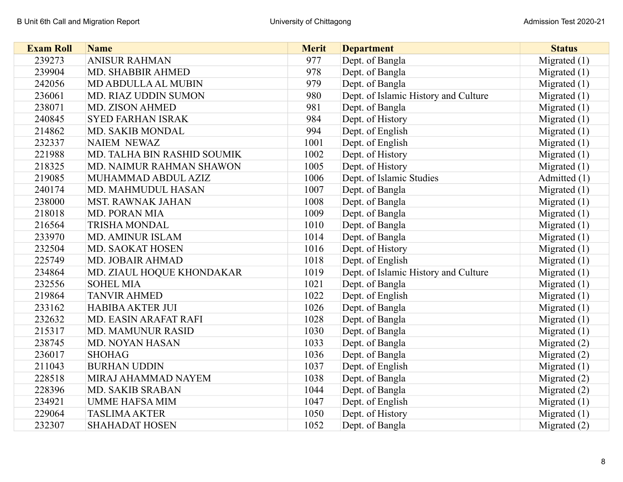| <b>Exam Roll</b> | <b>Name</b>                 | <b>Merit</b> | <b>Department</b>                    | <b>Status</b>  |
|------------------|-----------------------------|--------------|--------------------------------------|----------------|
| 239273           | <b>ANISUR RAHMAN</b>        | 977          | Dept. of Bangla                      | Migrated $(1)$ |
| 239904           | MD. SHABBIR AHMED           | 978          | Dept. of Bangla                      | Migrated $(1)$ |
| 242056           | MD ABDULLA AL MUBIN         | 979          | Dept. of Bangla                      | Migrated $(1)$ |
| 236061           | MD. RIAZ UDDIN SUMON        | 980          | Dept. of Islamic History and Culture | Migrated $(1)$ |
| 238071           | MD. ZISON AHMED             | 981          | Dept. of Bangla                      | Migrated $(1)$ |
| 240845           | <b>SYED FARHAN ISRAK</b>    | 984          | Dept. of History                     | Migrated $(1)$ |
| 214862           | MD. SAKIB MONDAL            | 994          | Dept. of English                     | Migrated $(1)$ |
| 232337           | <b>NAIEM NEWAZ</b>          | 1001         | Dept. of English                     | Migrated $(1)$ |
| 221988           | MD. TALHA BIN RASHID SOUMIK | 1002         | Dept. of History                     | Migrated $(1)$ |
| 218325           | MD. NAIMUR RAHMAN SHAWON    | 1005         | Dept. of History                     | Migrated $(1)$ |
| 219085           | MUHAMMAD ABDUL AZIZ         | 1006         | Dept. of Islamic Studies             | Admitted (1)   |
| 240174           | MD. MAHMUDUL HASAN          | 1007         | Dept. of Bangla                      | Migrated $(1)$ |
| 238000           | <b>MST. RAWNAK JAHAN</b>    | 1008         | Dept. of Bangla                      | Migrated $(1)$ |
| 218018           | MD. PORAN MIA               | 1009         | Dept. of Bangla                      | Migrated $(1)$ |
| 216564           | <b>TRISHA MONDAL</b>        | 1010         | Dept. of Bangla                      | Migrated (1)   |
| 233970           | <b>MD. AMINUR ISLAM</b>     | 1014         | Dept. of Bangla                      | Migrated $(1)$ |
| 232504           | MD. SAOKAT HOSEN            | 1016         | Dept. of History                     | Migrated (1)   |
| 225749           | <b>MD. JOBAIR AHMAD</b>     | 1018         | Dept. of English                     | Migrated $(1)$ |
| 234864           | MD. ZIAUL HOQUE KHONDAKAR   | 1019         | Dept. of Islamic History and Culture | Migrated (1)   |
| 232556           | <b>SOHEL MIA</b>            | 1021         | Dept. of Bangla                      | Migrated $(1)$ |
| 219864           | <b>TANVIR AHMED</b>         | 1022         | Dept. of English                     | Migrated $(1)$ |
| 233162           | <b>HABIBA AKTER JUI</b>     | 1026         | Dept. of Bangla                      | Migrated $(1)$ |
| 232632           | MD. EASIN ARAFAT RAFI       | 1028         | Dept. of Bangla                      | Migrated $(1)$ |
| 215317           | <b>MD. MAMUNUR RASID</b>    | 1030         | Dept. of Bangla                      | Migrated $(1)$ |
| 238745           | MD. NOYAN HASAN             | 1033         | Dept. of Bangla                      | Migrated $(2)$ |
| 236017           | <b>SHOHAG</b>               | 1036         | Dept. of Bangla                      | Migrated $(2)$ |
| 211043           | <b>BURHAN UDDIN</b>         | 1037         | Dept. of English                     | Migrated $(1)$ |
| 228518           | MIRAJ AHAMMAD NAYEM         | 1038         | Dept. of Bangla                      | Migrated $(2)$ |
| 228396           | MD. SAKIB SRABAN            | 1044         | Dept. of Bangla                      | Migrated $(2)$ |
| 234921           | <b>UMME HAFSA MIM</b>       | 1047         | Dept. of English                     | Migrated $(1)$ |
| 229064           | <b>TASLIMA AKTER</b>        | 1050         | Dept. of History                     | Migrated $(1)$ |
| 232307           | <b>SHAHADAT HOSEN</b>       | 1052         | Dept. of Bangla                      | Migrated $(2)$ |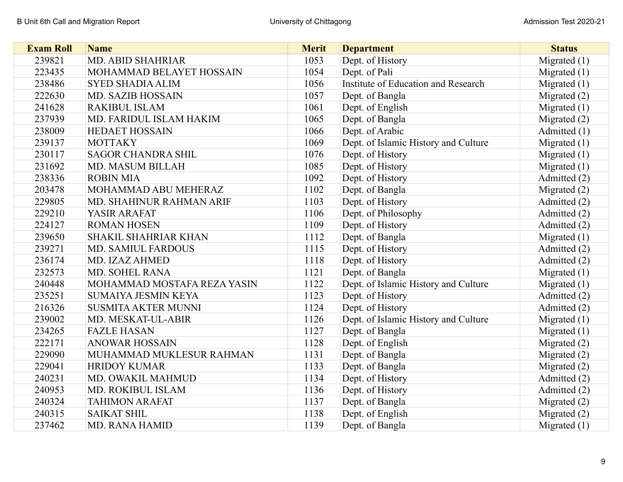| <b>Exam Roll</b> | <b>Name</b>                 | <b>Merit</b> | <b>Department</b>                    | <b>Status</b>  |
|------------------|-----------------------------|--------------|--------------------------------------|----------------|
| 239821           | MD. ABID SHAHRIAR           | 1053         | Dept. of History                     | Migrated (1)   |
| 223435           | MOHAMMAD BELAYET HOSSAIN    | 1054         | Dept. of Pali                        | Migrated $(1)$ |
| 238486           | <b>SYED SHADIA ALIM</b>     | 1056         | Institute of Education and Research  | Migrated $(1)$ |
| 222630           | <b>MD. SAZIB HOSSAIN</b>    | 1057         | Dept. of Bangla                      | Migrated $(2)$ |
| 241628           | <b>RAKIBUL ISLAM</b>        | 1061         | Dept. of English                     | Migrated $(1)$ |
| 237939           | MD. FARIDUL ISLAM HAKIM     | 1065         | Dept. of Bangla                      | Migrated $(2)$ |
| 238009           | <b>HEDAET HOSSAIN</b>       | 1066         | Dept. of Arabic                      | Admitted (1)   |
| 239137           | <b>MOTTAKY</b>              | 1069         | Dept. of Islamic History and Culture | Migrated $(1)$ |
| 230117           | <b>SAGOR CHANDRA SHIL</b>   | 1076         | Dept. of History                     | Migrated $(1)$ |
| 231692           | <b>MD. MASUM BILLAH</b>     | 1085         | Dept. of History                     | Migrated $(1)$ |
| 238336           | <b>ROBIN MIA</b>            | 1092         | Dept. of History                     | Admitted (2)   |
| 203478           | MOHAMMAD ABU MEHERAZ        | 1102         | Dept. of Bangla                      | Migrated $(2)$ |
| 229805           | MD. SHAHINUR RAHMAN ARIF    | 1103         | Dept. of History                     | Admitted (2)   |
| 229210           | YASIR ARAFAT                | 1106         | Dept. of Philosophy                  | Admitted (2)   |
| 224127           | <b>ROMAN HOSEN</b>          | 1109         | Dept. of History                     | Admitted (2)   |
| 239650           | <b>SHAKIL SHAHRIAR KHAN</b> | 1112         | Dept. of Bangla                      | Migrated $(1)$ |
| 239271           | <b>MD. SAMIUL FARDOUS</b>   | 1115         | Dept. of History                     | Admitted (2)   |
| 236174           | MD. IZAZ AHMED              | 1118         | Dept. of History                     | Admitted (2)   |
| 232573           | MD. SOHEL RANA              | 1121         | Dept. of Bangla                      | Migrated $(1)$ |
| 240448           | MOHAMMAD MOSTAFA REZA YASIN | 1122         | Dept. of Islamic History and Culture | Migrated $(1)$ |
| 235251           | <b>SUMAIYA JESMIN KEYA</b>  | 1123         | Dept. of History                     | Admitted (2)   |
| 216326           | <b>SUSMITA AKTER MUNNI</b>  | 1124         | Dept. of History                     | Admitted (2)   |
| 239002           | MD. MESKAT-UL-ABIR          | 1126         | Dept. of Islamic History and Culture | Migrated $(1)$ |
| 234265           | <b>FAZLE HASAN</b>          | 1127         | Dept. of Bangla                      | Migrated $(1)$ |
| 222171           | <b>ANOWAR HOSSAIN</b>       | 1128         | Dept. of English                     | Migrated $(2)$ |
| 229090           | MUHAMMAD MUKLESUR RAHMAN    | 1131         | Dept. of Bangla                      | Migrated (2)   |
| 229041           | <b>HRIDOY KUMAR</b>         | 1133         | Dept. of Bangla                      | Migrated (2)   |
| 240231           | MD. OWAKIL MAHMUD           | 1134         | Dept. of History                     | Admitted (2)   |
| 240953           | MD. ROKIBUL ISLAM           | 1136         | Dept. of History                     | Admitted (2)   |
| 240324           | <b>TAHIMON ARAFAT</b>       | 1137         | Dept. of Bangla                      | Migrated (2)   |
| 240315           | <b>SAIKAT SHIL</b>          | 1138         | Dept. of English                     | Migrated $(2)$ |
| 237462           | <b>MD. RANA HAMID</b>       | 1139         | Dept. of Bangla                      | Migrated $(1)$ |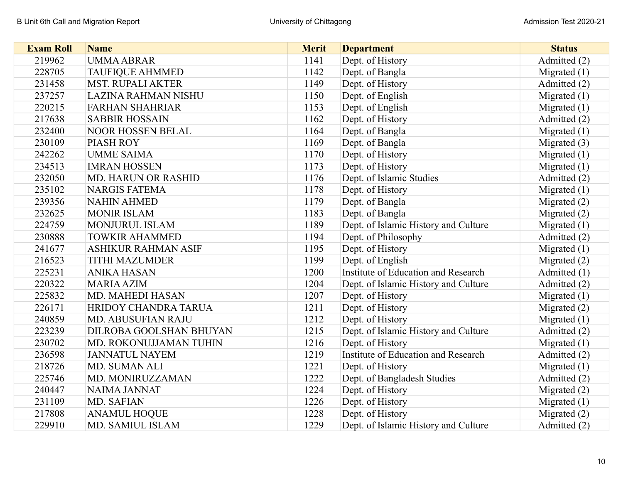| <b>Exam Roll</b> | <b>Name</b>                | <b>Merit</b> | <b>Department</b>                          | <b>Status</b>  |
|------------------|----------------------------|--------------|--------------------------------------------|----------------|
| 219962           | <b>UMMA ABRAR</b>          | 1141         | Dept. of History                           | Admitted (2)   |
| 228705           | <b>TAUFIQUE AHMMED</b>     | 1142         | Dept. of Bangla                            | Migrated $(1)$ |
| 231458           | <b>MST. RUPALI AKTER</b>   | 1149         | Dept. of History                           | Admitted (2)   |
| 237257           | LAZINA RAHMAN NISHU        | 1150         | Dept. of English                           | Migrated $(1)$ |
| 220215           | <b>FARHAN SHAHRIAR</b>     | 1153         | Dept. of English                           | Migrated $(1)$ |
| 217638           | <b>SABBIR HOSSAIN</b>      | 1162         | Dept. of History                           | Admitted (2)   |
| 232400           | NOOR HOSSEN BELAL          | 1164         | Dept. of Bangla                            | Migrated $(1)$ |
| 230109           | <b>PIASH ROY</b>           | 1169         | Dept. of Bangla                            | Migrated $(3)$ |
| 242262           | <b>UMME SAIMA</b>          | 1170         | Dept. of History                           | Migrated $(1)$ |
| 234513           | <b>IMRAN HOSSEN</b>        | 1173         | Dept. of History                           | Migrated $(1)$ |
| 232050           | <b>MD. HARUN OR RASHID</b> | 1176         | Dept. of Islamic Studies                   | Admitted (2)   |
| 235102           | <b>NARGIS FATEMA</b>       | 1178         | Dept. of History                           | Migrated $(1)$ |
| 239356           | <b>NAHIN AHMED</b>         | 1179         | Dept. of Bangla                            | Migrated $(2)$ |
| 232625           | <b>MONIR ISLAM</b>         | 1183         | Dept. of Bangla                            | Migrated $(2)$ |
| 224759           | <b>MONJURUL ISLAM</b>      | 1189         | Dept. of Islamic History and Culture       | Migrated (1)   |
| 230888           | <b>TOWKIR AHAMMED</b>      | 1194         | Dept. of Philosophy                        | Admitted (2)   |
| 241677           | <b>ASHIKUR RAHMAN ASIF</b> | 1195         | Dept. of History                           | Migrated $(1)$ |
| 216523           | <b>TITHI MAZUMDER</b>      | 1199         | Dept. of English                           | Migrated $(2)$ |
| 225231           | <b>ANIKA HASAN</b>         | 1200         | <b>Institute of Education and Research</b> | Admitted (1)   |
| 220322           | <b>MARIA AZIM</b>          | 1204         | Dept. of Islamic History and Culture       | Admitted (2)   |
| 225832           | MD. MAHEDI HASAN           | 1207         | Dept. of History                           | Migrated $(1)$ |
| 226171           | HRIDOY CHANDRA TARUA       | 1211         | Dept. of History                           | Migrated (2)   |
| 240859           | MD. ABUSUFIAN RAJU         | 1212         | Dept. of History                           | Migrated $(1)$ |
| 223239           | DILROBA GOOLSHAN BHUYAN    | 1215         | Dept. of Islamic History and Culture       | Admitted (2)   |
| 230702           | MD. ROKONUJJAMAN TUHIN     | 1216         | Dept. of History                           | Migrated $(1)$ |
| 236598           | <b>JANNATUL NAYEM</b>      | 1219         | Institute of Education and Research        | Admitted (2)   |
| 218726           | MD. SUMAN ALI              | 1221         | Dept. of History                           | Migrated $(1)$ |
| 225746           | MD. MONIRUZZAMAN           | 1222         | Dept. of Bangladesh Studies                | Admitted (2)   |
| 240447           | <b>NAIMA JANNAT</b>        | 1224         | Dept. of History                           | Migrated $(2)$ |
| 231109           | MD. SAFIAN                 | 1226         | Dept. of History                           | Migrated $(1)$ |
| 217808           | <b>ANAMUL HOQUE</b>        | 1228         | Dept. of History                           | Migrated $(2)$ |
| 229910           | MD. SAMIUL ISLAM           | 1229         | Dept. of Islamic History and Culture       | Admitted (2)   |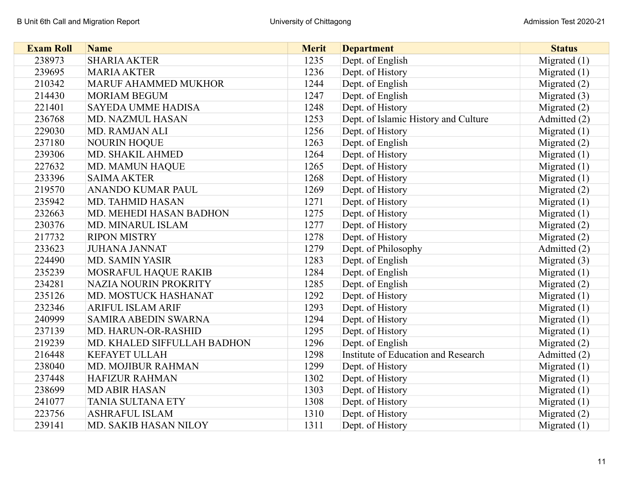| <b>Exam Roll</b> | <b>Name</b>                 | <b>Merit</b> | <b>Department</b>                    | <b>Status</b>  |
|------------------|-----------------------------|--------------|--------------------------------------|----------------|
| 238973           | <b>SHARIA AKTER</b>         | 1235         | Dept. of English                     | Migrated $(1)$ |
| 239695           | <b>MARIA AKTER</b>          | 1236         | Dept. of History                     | Migrated $(1)$ |
| 210342           | <b>MARUF AHAMMED MUKHOR</b> | 1244         | Dept. of English                     | Migrated $(2)$ |
| 214430           | <b>MORIAM BEGUM</b>         | 1247         | Dept. of English                     | Migrated (3)   |
| 221401           | <b>SAYEDA UMME HADISA</b>   | 1248         | Dept. of History                     | Migrated $(2)$ |
| 236768           | MD. NAZMUL HASAN            | 1253         | Dept. of Islamic History and Culture | Admitted (2)   |
| 229030           | MD. RAMJAN ALI              | 1256         | Dept. of History                     | Migrated $(1)$ |
| 237180           | <b>NOURIN HOQUE</b>         | 1263         | Dept. of English                     | Migrated $(2)$ |
| 239306           | MD. SHAKIL AHMED            | 1264         | Dept. of History                     | Migrated $(1)$ |
| 227632           | MD. MAMUN HAQUE             | 1265         | Dept. of History                     | Migrated $(1)$ |
| 233396           | <b>SAIMA AKTER</b>          | 1268         | Dept. of History                     | Migrated $(1)$ |
| 219570           | ANANDO KUMAR PAUL           | 1269         | Dept. of History                     | Migrated (2)   |
| 235942           | MD. TAHMID HASAN            | 1271         | Dept. of History                     | Migrated $(1)$ |
| 232663           | MD. MEHEDI HASAN BADHON     | 1275         | Dept. of History                     | Migrated $(1)$ |
| 230376           | MD. MINARUL ISLAM           | 1277         | Dept. of History                     | Migrated $(2)$ |
| 217732           | <b>RIPON MISTRY</b>         | 1278         | Dept. of History                     | Migrated (2)   |
| 233623           | <b>JUHANA JANNAT</b>        | 1279         | Dept. of Philosophy                  | Admitted (2)   |
| 224490           | <b>MD. SAMIN YASIR</b>      | 1283         | Dept. of English                     | Migrated $(3)$ |
| 235239           | MOSRAFUL HAQUE RAKIB        | 1284         | Dept. of English                     | Migrated (1)   |
| 234281           | NAZIA NOURIN PROKRITY       | 1285         | Dept. of English                     | Migrated $(2)$ |
| 235126           | MD. MOSTUCK HASHANAT        | 1292         | Dept. of History                     | Migrated $(1)$ |
| 232346           | <b>ARIFUL ISLAM ARIF</b>    | 1293         | Dept. of History                     | Migrated $(1)$ |
| 240999           | <b>SAMIRA ABEDIN SWARNA</b> | 1294         | Dept. of History                     | Migrated $(1)$ |
| 237139           | MD. HARUN-OR-RASHID         | 1295         | Dept. of History                     | Migrated $(1)$ |
| 219239           | MD. KHALED SIFFULLAH BADHON | 1296         | Dept. of English                     | Migrated $(2)$ |
| 216448           | <b>KEFAYET ULLAH</b>        | 1298         | Institute of Education and Research  | Admitted (2)   |
| 238040           | MD. MOJIBUR RAHMAN          | 1299         | Dept. of History                     | Migrated $(1)$ |
| 237448           | <b>HAFIZUR RAHMAN</b>       | 1302         | Dept. of History                     | Migrated $(1)$ |
| 238699           | <b>MD ABIR HASAN</b>        | 1303         | Dept. of History                     | Migrated $(1)$ |
| 241077           | <b>TANIA SULTANA ETY</b>    | 1308         | Dept. of History                     | Migrated $(1)$ |
| 223756           | <b>ASHRAFUL ISLAM</b>       | 1310         | Dept. of History                     | Migrated $(2)$ |
| 239141           | MD. SAKIB HASAN NILOY       | 1311         | Dept. of History                     | Migrated $(1)$ |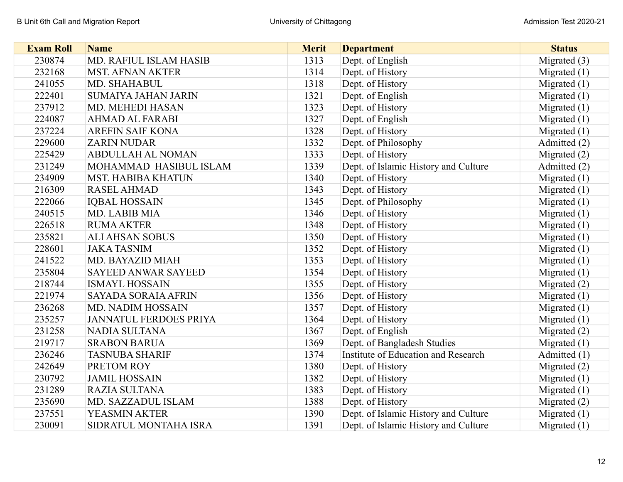| <b>Exam Roll</b> | <b>Name</b>                   | <b>Merit</b> | <b>Department</b>                    | <b>Status</b>  |
|------------------|-------------------------------|--------------|--------------------------------------|----------------|
| 230874           | MD. RAFIUL ISLAM HASIB        | 1313         | Dept. of English                     | Migrated (3)   |
| 232168           | <b>MST. AFNAN AKTER</b>       | 1314         | Dept. of History                     | Migrated $(1)$ |
| 241055           | <b>MD. SHAHABUL</b>           | 1318         | Dept. of History                     | Migrated $(1)$ |
| 222401           | <b>SUMAIYA JAHAN JARIN</b>    | 1321         | Dept. of English                     | Migrated $(1)$ |
| 237912           | MD. MEHEDI HASAN              | 1323         | Dept. of History                     | Migrated $(1)$ |
| 224087           | <b>AHMAD AL FARABI</b>        | 1327         | Dept. of English                     | Migrated $(1)$ |
| 237224           | <b>AREFIN SAIF KONA</b>       | 1328         | Dept. of History                     | Migrated $(1)$ |
| 229600           | <b>ZARIN NUDAR</b>            | 1332         | Dept. of Philosophy                  | Admitted (2)   |
| 225429           | <b>ABDULLAH AL NOMAN</b>      | 1333         | Dept. of History                     | Migrated (2)   |
| 231249           | MOHAMMAD HASIBUL ISLAM        | 1339         | Dept. of Islamic History and Culture | Admitted (2)   |
| 234909           | <b>MST. HABIBA KHATUN</b>     | 1340         | Dept. of History                     | Migrated $(1)$ |
| 216309           | <b>RASEL AHMAD</b>            | 1343         | Dept. of History                     | Migrated $(1)$ |
| 222066           | <b>IQBAL HOSSAIN</b>          | 1345         | Dept. of Philosophy                  | Migrated $(1)$ |
| 240515           | MD. LABIB MIA                 | 1346         | Dept. of History                     | Migrated $(1)$ |
| 226518           | <b>RUMA AKTER</b>             | 1348         | Dept. of History                     | Migrated (1)   |
| 235821           | <b>ALI AHSAN SOBUS</b>        | 1350         | Dept. of History                     | Migrated $(1)$ |
| 228601           | <b>JAKA TASNIM</b>            | 1352         | Dept. of History                     | Migrated $(1)$ |
| 241522           | MD. BAYAZID MIAH              | 1353         | Dept. of History                     | Migrated $(1)$ |
| 235804           | <b>SAYEED ANWAR SAYEED</b>    | 1354         | Dept. of History                     | Migrated $(1)$ |
| 218744           | <b>ISMAYL HOSSAIN</b>         | 1355         | Dept. of History                     | Migrated (2)   |
| 221974           | <b>SAYADA SORAIA AFRIN</b>    | 1356         | Dept. of History                     | Migrated $(1)$ |
| 236268           | <b>MD. NADIM HOSSAIN</b>      | 1357         | Dept. of History                     | Migrated $(1)$ |
| 235257           | <b>JANNATUL FERDOES PRIYA</b> | 1364         | Dept. of History                     | Migrated $(1)$ |
| 231258           | <b>NADIA SULTANA</b>          | 1367         | Dept. of English                     | Migrated (2)   |
| 219717           | <b>SRABON BARUA</b>           | 1369         | Dept. of Bangladesh Studies          | Migrated $(1)$ |
| 236246           | <b>TASNUBA SHARIF</b>         | 1374         | Institute of Education and Research  | Admitted (1)   |
| 242649           | PRETOM ROY                    | 1380         | Dept. of History                     | Migrated $(2)$ |
| 230792           | <b>JAMIL HOSSAIN</b>          | 1382         | Dept. of History                     | Migrated $(1)$ |
| 231289           | <b>RAZIA SULTANA</b>          | 1383         | Dept. of History                     | Migrated $(1)$ |
| 235690           | MD. SAZZADUL ISLAM            | 1388         | Dept. of History                     | Migrated $(2)$ |
| 237551           | YEASMIN AKTER                 | 1390         | Dept. of Islamic History and Culture | Migrated $(1)$ |
| 230091           | SIDRATUL MONTAHA ISRA         | 1391         | Dept. of Islamic History and Culture | Migrated $(1)$ |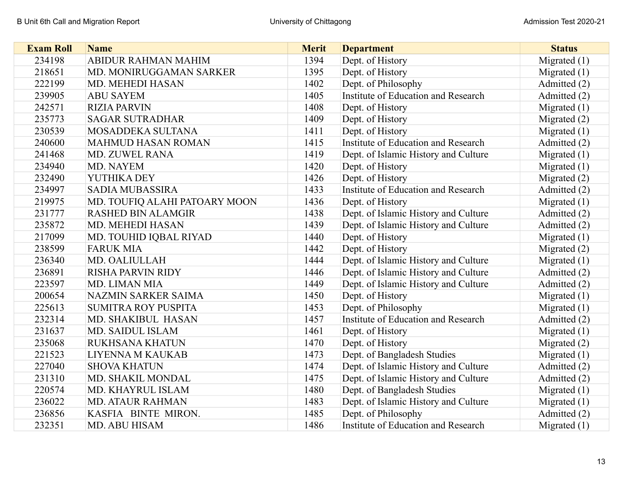| <b>Exam Roll</b> | <b>Name</b>                   | <b>Merit</b> | <b>Department</b>                    | <b>Status</b>  |
|------------------|-------------------------------|--------------|--------------------------------------|----------------|
| 234198           | ABIDUR RAHMAN MAHIM           | 1394         | Dept. of History                     | Migrated $(1)$ |
| 218651           | MD. MONIRUGGAMAN SARKER       | 1395         | Dept. of History                     | Migrated $(1)$ |
| 222199           | MD. MEHEDI HASAN              | 1402         | Dept. of Philosophy                  | Admitted (2)   |
| 239905           | <b>ABU SAYEM</b>              | 1405         | Institute of Education and Research  | Admitted (2)   |
| 242571           | <b>RIZIA PARVIN</b>           | 1408         | Dept. of History                     | Migrated $(1)$ |
| 235773           | <b>SAGAR SUTRADHAR</b>        | 1409         | Dept. of History                     | Migrated $(2)$ |
| 230539           | MOSADDEKA SULTANA             | 1411         | Dept. of History                     | Migrated $(1)$ |
| 240600           | <b>MAHMUD HASAN ROMAN</b>     | 1415         | Institute of Education and Research  | Admitted (2)   |
| 241468           | MD. ZUWEL RANA                | 1419         | Dept. of Islamic History and Culture | Migrated $(1)$ |
| 234940           | MD. NAYEM                     | 1420         | Dept. of History                     | Migrated $(1)$ |
| 232490           | YUTHIKA DEY                   | 1426         | Dept. of History                     | Migrated $(2)$ |
| 234997           | <b>SADIA MUBASSIRA</b>        | 1433         | Institute of Education and Research  | Admitted (2)   |
| 219975           | MD. TOUFIQ ALAHI PATOARY MOON | 1436         | Dept. of History                     | Migrated $(1)$ |
| 231777           | <b>RASHED BIN ALAMGIR</b>     | 1438         | Dept. of Islamic History and Culture | Admitted (2)   |
| 235872           | MD. MEHEDI HASAN              | 1439         | Dept. of Islamic History and Culture | Admitted (2)   |
| 217099           | MD. TOUHID IQBAL RIYAD        | 1440         | Dept. of History                     | Migrated $(1)$ |
| 238599           | <b>FARUK MIA</b>              | 1442         | Dept. of History                     | Migrated $(2)$ |
| 236340           | MD. OALIULLAH                 | 1444         | Dept. of Islamic History and Culture | Migrated $(1)$ |
| 236891           | <b>RISHA PARVIN RIDY</b>      | 1446         | Dept. of Islamic History and Culture | Admitted (2)   |
| 223597           | MD. LIMAN MIA                 | 1449         | Dept. of Islamic History and Culture | Admitted (2)   |
| 200654           | NAZMIN SARKER SAIMA           | 1450         | Dept. of History                     | Migrated $(1)$ |
| 225613           | <b>SUMITRA ROY PUSPITA</b>    | 1453         | Dept. of Philosophy                  | Migrated $(1)$ |
| 232314           | MD. SHAKIBUL HASAN            | 1457         | Institute of Education and Research  | Admitted (2)   |
| 231637           | MD. SAIDUL ISLAM              | 1461         | Dept. of History                     | Migrated $(1)$ |
| 235068           | RUKHSANA KHATUN               | 1470         | Dept. of History                     | Migrated $(2)$ |
| 221523           | LIYENNA M KAUKAB              | 1473         | Dept. of Bangladesh Studies          | Migrated $(1)$ |
| 227040           | <b>SHOVA KHATUN</b>           | 1474         | Dept. of Islamic History and Culture | Admitted (2)   |
| 231310           | MD. SHAKIL MONDAL             | 1475         | Dept. of Islamic History and Culture | Admitted (2)   |
| 220574           | MD. KHAYRUL ISLAM             | 1480         | Dept. of Bangladesh Studies          | Migrated $(1)$ |
| 236022           | <b>MD. ATAUR RAHMAN</b>       | 1483         | Dept. of Islamic History and Culture | Migrated $(1)$ |
| 236856           | KASFIA BINTE MIRON.           | 1485         | Dept. of Philosophy                  | Admitted (2)   |
| 232351           | MD. ABU HISAM                 | 1486         | Institute of Education and Research  | Migrated $(1)$ |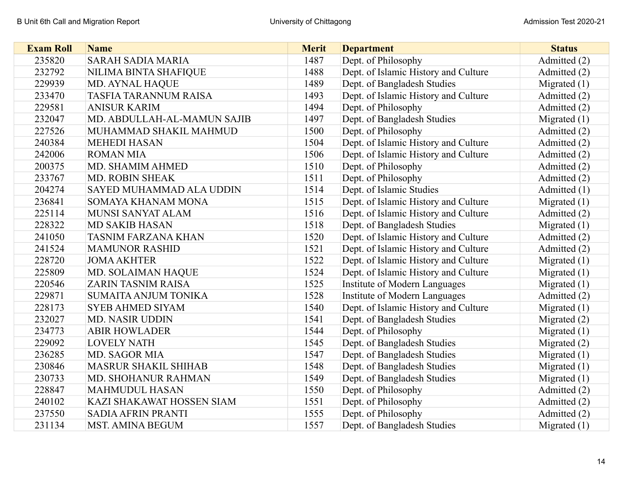| <b>Exam Roll</b> | <b>Name</b>                  | <b>Merit</b> | <b>Department</b>                    | <b>Status</b>  |
|------------------|------------------------------|--------------|--------------------------------------|----------------|
| 235820           | <b>SARAH SADIA MARIA</b>     | 1487         | Dept. of Philosophy                  | Admitted (2)   |
| 232792           | NILIMA BINTA SHAFIQUE        | 1488         | Dept. of Islamic History and Culture | Admitted (2)   |
| 229939           | <b>MD. AYNAL HAQUE</b>       | 1489         | Dept. of Bangladesh Studies          | Migrated $(1)$ |
| 233470           | <b>TASFIA TARANNUM RAISA</b> | 1493         | Dept. of Islamic History and Culture | Admitted (2)   |
| 229581           | <b>ANISUR KARIM</b>          | 1494         | Dept. of Philosophy                  | Admitted (2)   |
| 232047           | MD. ABDULLAH-AL-MAMUN SAJIB  | 1497         | Dept. of Bangladesh Studies          | Migrated $(1)$ |
| 227526           | MUHAMMAD SHAKIL MAHMUD       | 1500         | Dept. of Philosophy                  | Admitted (2)   |
| 240384           | <b>MEHEDI HASAN</b>          | 1504         | Dept. of Islamic History and Culture | Admitted (2)   |
| 242006           | <b>ROMAN MIA</b>             | 1506         | Dept. of Islamic History and Culture | Admitted (2)   |
| 200375           | MD. SHAMIM AHMED             | 1510         | Dept. of Philosophy                  | Admitted (2)   |
| 233767           | <b>MD. ROBIN SHEAK</b>       | 1511         | Dept. of Philosophy                  | Admitted (2)   |
| 204274           | SAYED MUHAMMAD ALA UDDIN     | 1514         | Dept. of Islamic Studies             | Admitted (1)   |
| 236841           | SOMAYA KHANAM MONA           | 1515         | Dept. of Islamic History and Culture | Migrated $(1)$ |
| 225114           | MUNSI SANYAT ALAM            | 1516         | Dept. of Islamic History and Culture | Admitted (2)   |
| 228322           | <b>MD SAKIB HASAN</b>        | 1518         | Dept. of Bangladesh Studies          | Migrated $(1)$ |
| 241050           | <b>TASNIM FARZANA KHAN</b>   | 1520         | Dept. of Islamic History and Culture | Admitted (2)   |
| 241524           | <b>MAMUNOR RASHID</b>        | 1521         | Dept. of Islamic History and Culture | Admitted (2)   |
| 228720           | <b>JOMA AKHTER</b>           | 1522         | Dept. of Islamic History and Culture | Migrated $(1)$ |
| 225809           | MD. SOLAIMAN HAQUE           | 1524         | Dept. of Islamic History and Culture | Migrated $(1)$ |
| 220546           | <b>ZARIN TASNIM RAISA</b>    | 1525         | Institute of Modern Languages        | Migrated $(1)$ |
| 229871           | SUMAITA ANJUM TONIKA         | 1528         | Institute of Modern Languages        | Admitted (2)   |
| 228173           | <b>SYEB AHMED SIYAM</b>      | 1540         | Dept. of Islamic History and Culture | Migrated $(1)$ |
| 232027           | <b>MD. NASIR UDDIN</b>       | 1541         | Dept. of Bangladesh Studies          | Migrated $(2)$ |
| 234773           | <b>ABIR HOWLADER</b>         | 1544         | Dept. of Philosophy                  | Migrated $(1)$ |
| 229092           | <b>LOVELY NATH</b>           | 1545         | Dept. of Bangladesh Studies          | Migrated (2)   |
| 236285           | <b>MD. SAGOR MIA</b>         | 1547         | Dept. of Bangladesh Studies          | Migrated $(1)$ |
| 230846           | <b>MASRUR SHAKIL SHIHAB</b>  | 1548         | Dept. of Bangladesh Studies          | Migrated $(1)$ |
| 230733           | MD. SHOHANUR RAHMAN          | 1549         | Dept. of Bangladesh Studies          | Migrated $(1)$ |
| 228847           | <b>MAHMUDUL HASAN</b>        | 1550         | Dept. of Philosophy                  | Admitted (2)   |
| 240102           | KAZI SHAKAWAT HOSSEN SIAM    | 1551         | Dept. of Philosophy                  | Admitted (2)   |
| 237550           | <b>SADIA AFRIN PRANTI</b>    | 1555         | Dept. of Philosophy                  | Admitted (2)   |
| 231134           | <b>MST. AMINA BEGUM</b>      | 1557         | Dept. of Bangladesh Studies          | Migrated $(1)$ |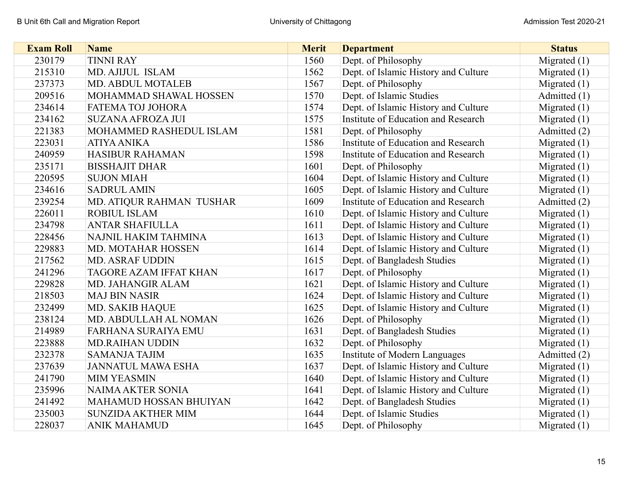| <b>Exam Roll</b> | <b>Name</b>                   | <b>Merit</b> | <b>Department</b>                    | <b>Status</b>  |
|------------------|-------------------------------|--------------|--------------------------------------|----------------|
| 230179           | <b>TINNI RAY</b>              | 1560         | Dept. of Philosophy                  | Migrated $(1)$ |
| 215310           | MD. AJIJUL ISLAM              | 1562         | Dept. of Islamic History and Culture | Migrated $(1)$ |
| 237373           | <b>MD. ABDUL MOTALEB</b>      | 1567         | Dept. of Philosophy                  | Migrated $(1)$ |
| 209516           | MOHAMMAD SHAWAL HOSSEN        | 1570         | Dept. of Islamic Studies             | Admitted (1)   |
| 234614           | FATEMA TOJ JOHORA             | 1574         | Dept. of Islamic History and Culture | Migrated $(1)$ |
| 234162           | <b>SUZANA AFROZA JUI</b>      | 1575         | Institute of Education and Research  | Migrated $(1)$ |
| 221383           | MOHAMMED RASHEDUL ISLAM       | 1581         | Dept. of Philosophy                  | Admitted (2)   |
| 223031           | <b>ATIYA ANIKA</b>            | 1586         | Institute of Education and Research  | Migrated $(1)$ |
| 240959           | <b>HASIBUR RAHAMAN</b>        | 1598         | Institute of Education and Research  | Migrated $(1)$ |
| 235171           | <b>BISSHAJIT DHAR</b>         | 1601         | Dept. of Philosophy                  | Migrated $(1)$ |
| 220595           | <b>SUJON MIAH</b>             | 1604         | Dept. of Islamic History and Culture | Migrated $(1)$ |
| 234616           | <b>SADRUL AMIN</b>            | 1605         | Dept. of Islamic History and Culture | Migrated $(1)$ |
| 239254           | MD. ATIQUR RAHMAN TUSHAR      | 1609         | Institute of Education and Research  | Admitted (2)   |
| 226011           | <b>ROBIUL ISLAM</b>           | 1610         | Dept. of Islamic History and Culture | Migrated $(1)$ |
| 234798           | <b>ANTAR SHAFIULLA</b>        | 1611         | Dept. of Islamic History and Culture | Migrated $(1)$ |
| 228456           | NAJNIL HAKIM TAHMINA          | 1613         | Dept. of Islamic History and Culture | Migrated $(1)$ |
| 229883           | MD. MOTAHAR HOSSEN            | 1614         | Dept. of Islamic History and Culture | Migrated $(1)$ |
| 217562           | <b>MD. ASRAF UDDIN</b>        | 1615         | Dept. of Bangladesh Studies          | Migrated $(1)$ |
| 241296           | <b>TAGORE AZAM IFFAT KHAN</b> | 1617         | Dept. of Philosophy                  | Migrated $(1)$ |
| 229828           | MD. JAHANGIR ALAM             | 1621         | Dept. of Islamic History and Culture | Migrated $(1)$ |
| 218503           | <b>MAJ BIN NASIR</b>          | 1624         | Dept. of Islamic History and Culture | Migrated $(1)$ |
| 232499           | <b>MD. SAKIB HAQUE</b>        | 1625         | Dept. of Islamic History and Culture | Migrated $(1)$ |
| 238124           | MD. ABDULLAH AL NOMAN         | 1626         | Dept. of Philosophy                  | Migrated $(1)$ |
| 214989           | <b>FARHANA SURAIYA EMU</b>    | 1631         | Dept. of Bangladesh Studies          | Migrated $(1)$ |
| 223888           | <b>MD.RAIHAN UDDIN</b>        | 1632         | Dept. of Philosophy                  | Migrated $(1)$ |
| 232378           | <b>SAMANJA TAJIM</b>          | 1635         | <b>Institute of Modern Languages</b> | Admitted (2)   |
| 237639           | <b>JANNATUL MAWA ESHA</b>     | 1637         | Dept. of Islamic History and Culture | Migrated $(1)$ |
| 241790           | <b>MIM YEASMIN</b>            | 1640         | Dept. of Islamic History and Culture | Migrated $(1)$ |
| 235996           | <b>NAIMA AKTER SONIA</b>      | 1641         | Dept. of Islamic History and Culture | Migrated $(1)$ |
| 241492           | MAHAMUD HOSSAN BHUIYAN        | 1642         | Dept. of Bangladesh Studies          | Migrated $(1)$ |
| 235003           | <b>SUNZIDA AKTHER MIM</b>     | 1644         | Dept. of Islamic Studies             | Migrated $(1)$ |
| 228037           | <b>ANIK MAHAMUD</b>           | 1645         | Dept. of Philosophy                  | Migrated $(1)$ |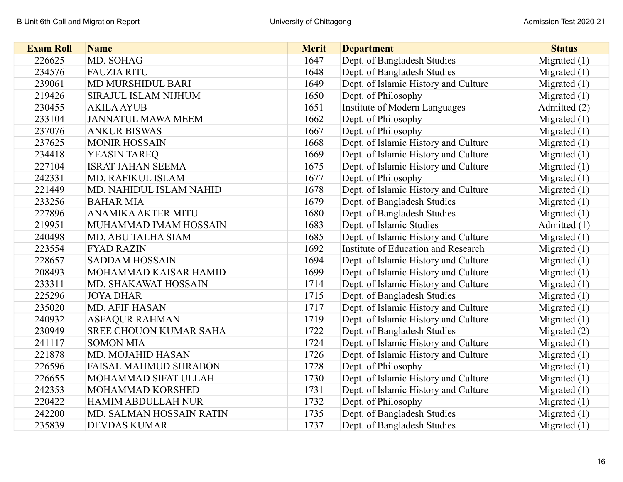| <b>Exam Roll</b> | <b>Name</b>                    | <b>Merit</b> | <b>Department</b>                    | <b>Status</b>  |
|------------------|--------------------------------|--------------|--------------------------------------|----------------|
| 226625           | MD. SOHAG                      | 1647         | Dept. of Bangladesh Studies          | Migrated $(1)$ |
| 234576           | <b>FAUZIA RITU</b>             | 1648         | Dept. of Bangladesh Studies          | Migrated $(1)$ |
| 239061           | MD MURSHIDUL BARI              | 1649         | Dept. of Islamic History and Culture | Migrated $(1)$ |
| 219426           | SIRAJUL ISLAM NIJHUM           | 1650         | Dept. of Philosophy                  | Migrated $(1)$ |
| 230455           | <b>AKILA AYUB</b>              | 1651         | Institute of Modern Languages        | Admitted (2)   |
| 233104           | <b>JANNATUL MAWA MEEM</b>      | 1662         | Dept. of Philosophy                  | Migrated $(1)$ |
| 237076           | <b>ANKUR BISWAS</b>            | 1667         | Dept. of Philosophy                  | Migrated $(1)$ |
| 237625           | <b>MONIR HOSSAIN</b>           | 1668         | Dept. of Islamic History and Culture | Migrated $(1)$ |
| 234418           | YEASIN TAREQ                   | 1669         | Dept. of Islamic History and Culture | Migrated $(1)$ |
| 227104           | <b>ISRAT JAHAN SEEMA</b>       | 1675         | Dept. of Islamic History and Culture | Migrated $(1)$ |
| 242331           | MD. RAFIKUL ISLAM              | 1677         | Dept. of Philosophy                  | Migrated $(1)$ |
| 221449           | <b>MD. NAHIDUL ISLAM NAHID</b> | 1678         | Dept. of Islamic History and Culture | Migrated $(1)$ |
| 233256           | <b>BAHAR MIA</b>               | 1679         | Dept. of Bangladesh Studies          | Migrated $(1)$ |
| 227896           | ANAMIKA AKTER MITU             | 1680         | Dept. of Bangladesh Studies          | Migrated $(1)$ |
| 219951           | MUHAMMAD IMAM HOSSAIN          | 1683         | Dept. of Islamic Studies             | Admitted (1)   |
| 240498           | <b>MD. ABU TALHA SIAM</b>      | 1685         | Dept. of Islamic History and Culture | Migrated $(1)$ |
| 223554           | <b>FYAD RAZIN</b>              | 1692         | Institute of Education and Research  | Migrated $(1)$ |
| 228657           | <b>SADDAM HOSSAIN</b>          | 1694         | Dept. of Islamic History and Culture | Migrated $(1)$ |
| 208493           | MOHAMMAD KAISAR HAMID          | 1699         | Dept. of Islamic History and Culture | Migrated $(1)$ |
| 233311           | MD. SHAKAWAT HOSSAIN           | 1714         | Dept. of Islamic History and Culture | Migrated $(1)$ |
| 225296           | <b>JOYA DHAR</b>               | 1715         | Dept. of Bangladesh Studies          | Migrated $(1)$ |
| 235020           | <b>MD. AFIF HASAN</b>          | 1717         | Dept. of Islamic History and Culture | Migrated $(1)$ |
| 240932           | <b>ASFAQUR RAHMAN</b>          | 1719         | Dept. of Islamic History and Culture | Migrated $(1)$ |
| 230949           | SREE CHOUON KUMAR SAHA         | 1722         | Dept. of Bangladesh Studies          | Migrated $(2)$ |
| 241117           | <b>SOMON MIA</b>               | 1724         | Dept. of Islamic History and Culture | Migrated $(1)$ |
| 221878           | MD. MOJAHID HASAN              | 1726         | Dept. of Islamic History and Culture | Migrated $(1)$ |
| 226596           | <b>FAISAL MAHMUD SHRABON</b>   | 1728         | Dept. of Philosophy                  | Migrated $(1)$ |
| 226655           | MOHAMMAD SIFAT ULLAH           | 1730         | Dept. of Islamic History and Culture | Migrated $(1)$ |
| 242353           | MOHAMMAD KORSHED               | 1731         | Dept. of Islamic History and Culture | Migrated $(1)$ |
| 220422           | <b>HAMIM ABDULLAH NUR</b>      | 1732         | Dept. of Philosophy                  | Migrated $(1)$ |
| 242200           | MD. SALMAN HOSSAIN RATIN       | 1735         | Dept. of Bangladesh Studies          | Migrated $(1)$ |
| 235839           | <b>DEVDAS KUMAR</b>            | 1737         | Dept. of Bangladesh Studies          | Migrated $(1)$ |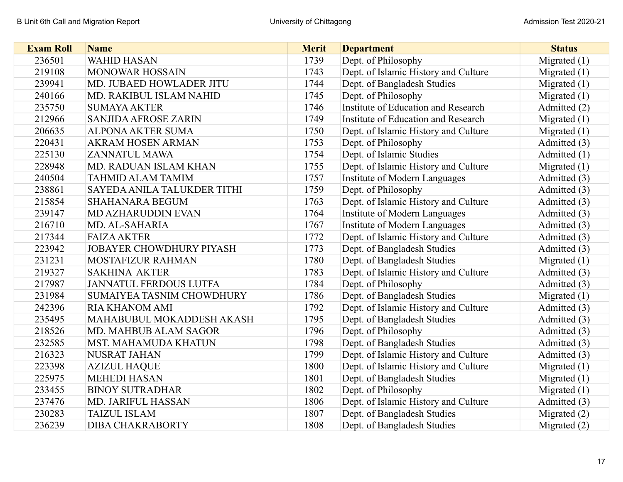| <b>Exam Roll</b> | <b>Name</b>                      | <b>Merit</b> | <b>Department</b>                    | <b>Status</b>  |
|------------------|----------------------------------|--------------|--------------------------------------|----------------|
| 236501           | <b>WAHID HASAN</b>               | 1739         | Dept. of Philosophy                  | Migrated $(1)$ |
| 219108           | <b>MONOWAR HOSSAIN</b>           | 1743         | Dept. of Islamic History and Culture | Migrated $(1)$ |
| 239941           | MD. JUBAED HOWLADER JITU         | 1744         | Dept. of Bangladesh Studies          | Migrated $(1)$ |
| 240166           | MD. RAKIBUL ISLAM NAHID          | 1745         | Dept. of Philosophy                  | Migrated $(1)$ |
| 235750           | <b>SUMAYA AKTER</b>              | 1746         | Institute of Education and Research  | Admitted (2)   |
| 212966           | <b>SANJIDA AFROSE ZARIN</b>      | 1749         | Institute of Education and Research  | Migrated $(1)$ |
| 206635           | <b>ALPONA AKTER SUMA</b>         | 1750         | Dept. of Islamic History and Culture | Migrated $(1)$ |
| 220431           | <b>AKRAM HOSEN ARMAN</b>         | 1753         | Dept. of Philosophy                  | Admitted (3)   |
| 225130           | <b>ZANNATUL MAWA</b>             | 1754         | Dept. of Islamic Studies             | Admitted (1)   |
| 228948           | MD. RADUAN ISLAM KHAN            | 1755         | Dept. of Islamic History and Culture | Migrated $(1)$ |
| 240504           | <b>TAHMID ALAM TAMIM</b>         | 1757         | <b>Institute of Modern Languages</b> | Admitted (3)   |
| 238861           | SAYEDA ANILA TALUKDER TITHI      | 1759         | Dept. of Philosophy                  | Admitted (3)   |
| 215854           | <b>SHAHANARA BEGUM</b>           | 1763         | Dept. of Islamic History and Culture | Admitted (3)   |
| 239147           | <b>MD AZHARUDDIN EVAN</b>        | 1764         | Institute of Modern Languages        | Admitted (3)   |
| 216710           | MD. AL-SAHARIA                   | 1767         | Institute of Modern Languages        | Admitted (3)   |
| 217344           | <b>FAIZA AKTER</b>               | 1772         | Dept. of Islamic History and Culture | Admitted (3)   |
| 223942           | <b>JOBAYER CHOWDHURY PIYASH</b>  | 1773         | Dept. of Bangladesh Studies          | Admitted (3)   |
| 231231           | MOSTAFIZUR RAHMAN                | 1780         | Dept. of Bangladesh Studies          | Migrated $(1)$ |
| 219327           | <b>SAKHINA AKTER</b>             | 1783         | Dept. of Islamic History and Culture | Admitted (3)   |
| 217987           | <b>JANNATUL FERDOUS LUTFA</b>    | 1784         | Dept. of Philosophy                  | Admitted (3)   |
| 231984           | <b>SUMAIYEA TASNIM CHOWDHURY</b> | 1786         | Dept. of Bangladesh Studies          | Migrated $(1)$ |
| 242396           | <b>RIA KHANOM AMI</b>            | 1792         | Dept. of Islamic History and Culture | Admitted (3)   |
| 235495           | MAHABUBUL MOKADDESH AKASH        | 1795         | Dept. of Bangladesh Studies          | Admitted (3)   |
| 218526           | MD. MAHBUB ALAM SAGOR            | 1796         | Dept. of Philosophy                  | Admitted (3)   |
| 232585           | MST. MAHAMUDA KHATUN             | 1798         | Dept. of Bangladesh Studies          | Admitted (3)   |
| 216323           | <b>NUSRAT JAHAN</b>              | 1799         | Dept. of Islamic History and Culture | Admitted (3)   |
| 223398           | <b>AZIZUL HAQUE</b>              | 1800         | Dept. of Islamic History and Culture | Migrated $(1)$ |
| 225975           | <b>MEHEDI HASAN</b>              | 1801         | Dept. of Bangladesh Studies          | Migrated $(1)$ |
| 233455           | <b>BINOY SUTRADHAR</b>           | 1802         | Dept. of Philosophy                  | Migrated $(1)$ |
| 237476           | MD. JARIFUL HASSAN               | 1806         | Dept. of Islamic History and Culture | Admitted (3)   |
| 230283           | <b>TAIZUL ISLAM</b>              | 1807         | Dept. of Bangladesh Studies          | Migrated $(2)$ |
| 236239           | <b>DIBA CHAKRABORTY</b>          | 1808         | Dept. of Bangladesh Studies          | Migrated $(2)$ |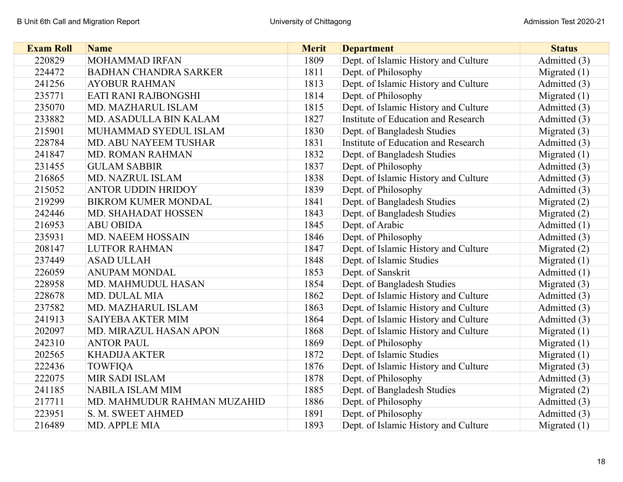| <b>Exam Roll</b> | <b>Name</b>                  | <b>Merit</b> | <b>Department</b>                    | <b>Status</b>  |
|------------------|------------------------------|--------------|--------------------------------------|----------------|
| 220829           | <b>MOHAMMAD IRFAN</b>        | 1809         | Dept. of Islamic History and Culture | Admitted (3)   |
| 224472           | <b>BADHAN CHANDRA SARKER</b> | 1811         | Dept. of Philosophy                  | Migrated $(1)$ |
| 241256           | <b>AYOBUR RAHMAN</b>         | 1813         | Dept. of Islamic History and Culture | Admitted (3)   |
| 235771           | EATI RANI RAJBONGSHI         | 1814         | Dept. of Philosophy                  | Migrated $(1)$ |
| 235070           | MD. MAZHARUL ISLAM           | 1815         | Dept. of Islamic History and Culture | Admitted (3)   |
| 233882           | MD. ASADULLA BIN KALAM       | 1827         | Institute of Education and Research  | Admitted (3)   |
| 215901           | MUHAMMAD SYEDUL ISLAM        | 1830         | Dept. of Bangladesh Studies          | Migrated $(3)$ |
| 228784           | MD. ABU NAYEEM TUSHAR        | 1831         | Institute of Education and Research  | Admitted (3)   |
| 241847           | <b>MD. ROMAN RAHMAN</b>      | 1832         | Dept. of Bangladesh Studies          | Migrated $(1)$ |
| 231455           | <b>GULAM SABBIR</b>          | 1837         | Dept. of Philosophy                  | Admitted (3)   |
| 216865           | <b>MD. NAZRUL ISLAM</b>      | 1838         | Dept. of Islamic History and Culture | Admitted (3)   |
| 215052           | <b>ANTOR UDDIN HRIDOY</b>    | 1839         | Dept. of Philosophy                  | Admitted (3)   |
| 219299           | <b>BIKROM KUMER MONDAL</b>   | 1841         | Dept. of Bangladesh Studies          | Migrated $(2)$ |
| 242446           | MD. SHAHADAT HOSSEN          | 1843         | Dept. of Bangladesh Studies          | Migrated $(2)$ |
| 216953           | <b>ABU OBIDA</b>             | 1845         | Dept. of Arabic                      | Admitted (1)   |
| 235931           | <b>MD. NAEEM HOSSAIN</b>     | 1846         | Dept. of Philosophy                  | Admitted (3)   |
| 208147           | <b>LUTFOR RAHMAN</b>         | 1847         | Dept. of Islamic History and Culture | Migrated $(2)$ |
| 237449           | <b>ASAD ULLAH</b>            | 1848         | Dept. of Islamic Studies             | Migrated $(1)$ |
| 226059           | <b>ANUPAM MONDAL</b>         | 1853         | Dept. of Sanskrit                    | Admitted (1)   |
| 228958           | MD. MAHMUDUL HASAN           | 1854         | Dept. of Bangladesh Studies          | Migrated $(3)$ |
| 228678           | MD. DULAL MIA                | 1862         | Dept. of Islamic History and Culture | Admitted (3)   |
| 237582           | MD. MAZHARUL ISLAM           | 1863         | Dept. of Islamic History and Culture | Admitted (3)   |
| 241913           | <b>SAIYEBA AKTER MIM</b>     | 1864         | Dept. of Islamic History and Culture | Admitted (3)   |
| 202097           | MD. MIRAZUL HASAN APON       | 1868         | Dept. of Islamic History and Culture | Migrated $(1)$ |
| 242310           | <b>ANTOR PAUL</b>            | 1869         | Dept. of Philosophy                  | Migrated $(1)$ |
| 202565           | <b>KHADIJA AKTER</b>         | 1872         | Dept. of Islamic Studies             | Migrated $(1)$ |
| 222436           | <b>TOWFIQA</b>               | 1876         | Dept. of Islamic History and Culture | Migrated $(3)$ |
| 222075           | <b>MIR SADI ISLAM</b>        | 1878         | Dept. of Philosophy                  | Admitted (3)   |
| 241185           | <b>NABILA ISLAM MIM</b>      | 1885         | Dept. of Bangladesh Studies          | Migrated $(2)$ |
| 217711           | MD. MAHMUDUR RAHMAN MUZAHID  | 1886         | Dept. of Philosophy                  | Admitted (3)   |
| 223951           | S. M. SWEET AHMED            | 1891         | Dept. of Philosophy                  | Admitted (3)   |
| 216489           | <b>MD. APPLE MIA</b>         | 1893         | Dept. of Islamic History and Culture | Migrated $(1)$ |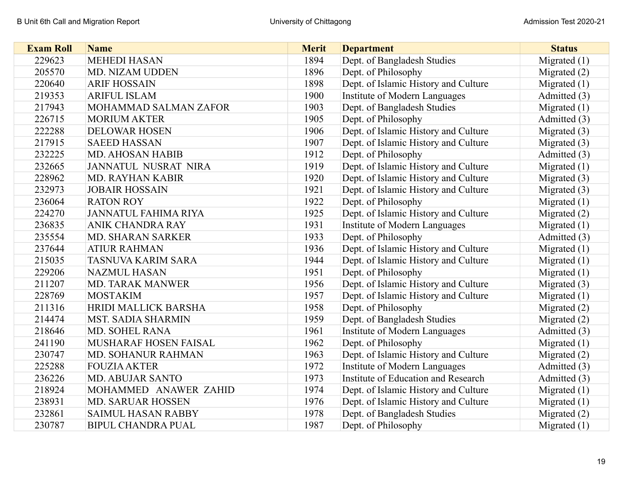| <b>Exam Roll</b> | <b>Name</b>                 | <b>Merit</b> | <b>Department</b>                    | <b>Status</b>  |
|------------------|-----------------------------|--------------|--------------------------------------|----------------|
| 229623           | <b>MEHEDI HASAN</b>         | 1894         | Dept. of Bangladesh Studies          | Migrated $(1)$ |
| 205570           | MD. NIZAM UDDEN             | 1896         | Dept. of Philosophy                  | Migrated $(2)$ |
| 220640           | <b>ARIF HOSSAIN</b>         | 1898         | Dept. of Islamic History and Culture | Migrated $(1)$ |
| 219353           | <b>ARIFUL ISLAM</b>         | 1900         | <b>Institute of Modern Languages</b> | Admitted (3)   |
| 217943           | MOHAMMAD SALMAN ZAFOR       | 1903         | Dept. of Bangladesh Studies          | Migrated $(1)$ |
| 226715           | <b>MORIUM AKTER</b>         | 1905         | Dept. of Philosophy                  | Admitted (3)   |
| 222288           | <b>DELOWAR HOSEN</b>        | 1906         | Dept. of Islamic History and Culture | Migrated $(3)$ |
| 217915           | <b>SAEED HASSAN</b>         | 1907         | Dept. of Islamic History and Culture | Migrated $(3)$ |
| 232225           | MD. AHOSAN HABIB            | 1912         | Dept. of Philosophy                  | Admitted (3)   |
| 232665           | <b>JANNATUL NUSRAT NIRA</b> | 1919         | Dept. of Islamic History and Culture | Migrated $(1)$ |
| 228962           | <b>MD. RAYHAN KABIR</b>     | 1920         | Dept. of Islamic History and Culture | Migrated $(3)$ |
| 232973           | <b>JOBAIR HOSSAIN</b>       | 1921         | Dept. of Islamic History and Culture | Migrated $(3)$ |
| 236064           | <b>RATON ROY</b>            | 1922         | Dept. of Philosophy                  | Migrated $(1)$ |
| 224270           | <b>JANNATUL FAHIMA RIYA</b> | 1925         | Dept. of Islamic History and Culture | Migrated $(2)$ |
| 236835           | <b>ANIK CHANDRA RAY</b>     | 1931         | Institute of Modern Languages        | Migrated $(1)$ |
| 235554           | <b>MD. SHARAN SARKER</b>    | 1933         | Dept. of Philosophy                  | Admitted (3)   |
| 237644           | <b>ATIUR RAHMAN</b>         | 1936         | Dept. of Islamic History and Culture | Migrated $(1)$ |
| 215035           | <b>TASNUVA KARIM SARA</b>   | 1944         | Dept. of Islamic History and Culture | Migrated $(1)$ |
| 229206           | <b>NAZMUL HASAN</b>         | 1951         | Dept. of Philosophy                  | Migrated (1)   |
| 211207           | MD. TARAK MANWER            | 1956         | Dept. of Islamic History and Culture | Migrated $(3)$ |
| 228769           | <b>MOSTAKIM</b>             | 1957         | Dept. of Islamic History and Culture | Migrated $(1)$ |
| 211316           | HRIDI MALLICK BARSHA        | 1958         | Dept. of Philosophy                  | Migrated $(2)$ |
| 214474           | <b>MST. SADIA SHARMIN</b>   | 1959         | Dept. of Bangladesh Studies          | Migrated $(2)$ |
| 218646           | MD. SOHEL RANA              | 1961         | <b>Institute of Modern Languages</b> | Admitted (3)   |
| 241190           | MUSHARAF HOSEN FAISAL       | 1962         | Dept. of Philosophy                  | Migrated $(1)$ |
| 230747           | MD. SOHANUR RAHMAN          | 1963         | Dept. of Islamic History and Culture | Migrated $(2)$ |
| 225288           | <b>FOUZIA AKTER</b>         | 1972         | <b>Institute of Modern Languages</b> | Admitted (3)   |
| 236226           | <b>MD. ABUJAR SANTO</b>     | 1973         | Institute of Education and Research  | Admitted (3)   |
| 218924           | MOHAMMED ANAWER ZAHID       | 1974         | Dept. of Islamic History and Culture | Migrated $(1)$ |
| 238931           | <b>MD. SARUAR HOSSEN</b>    | 1976         | Dept. of Islamic History and Culture | Migrated $(1)$ |
| 232861           | <b>SAIMUL HASAN RABBY</b>   | 1978         | Dept. of Bangladesh Studies          | Migrated $(2)$ |
| 230787           | <b>BIPUL CHANDRA PUAL</b>   | 1987         | Dept. of Philosophy                  | Migrated $(1)$ |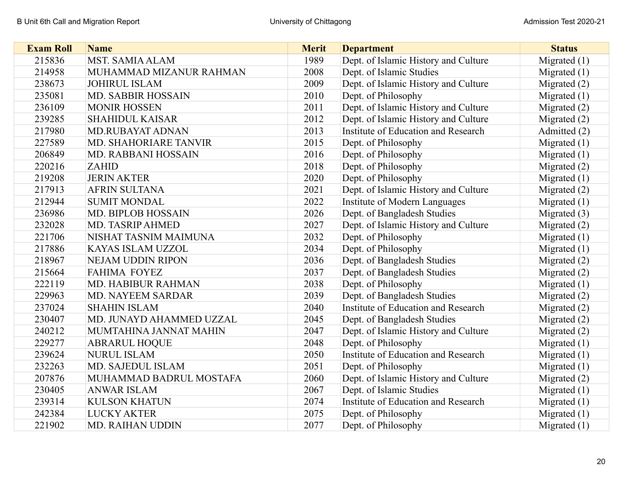| <b>Exam Roll</b> | <b>Name</b>               | <b>Merit</b> | <b>Department</b>                    | <b>Status</b>  |
|------------------|---------------------------|--------------|--------------------------------------|----------------|
| 215836           | <b>MST. SAMIA ALAM</b>    | 1989         | Dept. of Islamic History and Culture | Migrated $(1)$ |
| 214958           | MUHAMMAD MIZANUR RAHMAN   | 2008         | Dept. of Islamic Studies             | Migrated $(1)$ |
| 238673           | <b>JOHIRUL ISLAM</b>      | 2009         | Dept. of Islamic History and Culture | Migrated $(2)$ |
| 235081           | MD. SABBIR HOSSAIN        | 2010         | Dept. of Philosophy                  | Migrated $(1)$ |
| 236109           | <b>MONIR HOSSEN</b>       | 2011         | Dept. of Islamic History and Culture | Migrated $(2)$ |
| 239285           | <b>SHAHIDUL KAISAR</b>    | 2012         | Dept. of Islamic History and Culture | Migrated $(2)$ |
| 217980           | <b>MD.RUBAYAT ADNAN</b>   | 2013         | Institute of Education and Research  | Admitted (2)   |
| 227589           | MD. SHAHORIARE TANVIR     | 2015         | Dept. of Philosophy                  | Migrated $(1)$ |
| 206849           | MD. RABBANI HOSSAIN       | 2016         | Dept. of Philosophy                  | Migrated $(1)$ |
| 220216           | <b>ZAHID</b>              | 2018         | Dept. of Philosophy                  | Migrated $(2)$ |
| 219208           | <b>JERIN AKTER</b>        | 2020         | Dept. of Philosophy                  | Migrated $(1)$ |
| 217913           | <b>AFRIN SULTANA</b>      | 2021         | Dept. of Islamic History and Culture | Migrated $(2)$ |
| 212944           | <b>SUMIT MONDAL</b>       | 2022         | <b>Institute of Modern Languages</b> | Migrated $(1)$ |
| 236986           | <b>MD. BIPLOB HOSSAIN</b> | 2026         | Dept. of Bangladesh Studies          | Migrated $(3)$ |
| 232028           | MD. TASRIP AHMED          | 2027         | Dept. of Islamic History and Culture | Migrated $(2)$ |
| 221706           | NISHAT TASNIM MAIMUNA     | 2032         | Dept. of Philosophy                  | Migrated $(1)$ |
| 217886           | KAYAS ISLAM UZZOL         | 2034         | Dept. of Philosophy                  | Migrated $(1)$ |
| 218967           | <b>NEJAM UDDIN RIPON</b>  | 2036         | Dept. of Bangladesh Studies          | Migrated $(2)$ |
| 215664           | <b>FAHIMA FOYEZ</b>       | 2037         | Dept. of Bangladesh Studies          | Migrated $(2)$ |
| 222119           | <b>MD. HABIBUR RAHMAN</b> | 2038         | Dept. of Philosophy                  | Migrated $(1)$ |
| 229963           | <b>MD. NAYEEM SARDAR</b>  | 2039         | Dept. of Bangladesh Studies          | Migrated $(2)$ |
| 237024           | <b>SHAHIN ISLAM</b>       | 2040         | Institute of Education and Research  | Migrated $(2)$ |
| 230407           | MD. JUNAYD AHAMMED UZZAL  | 2045         | Dept. of Bangladesh Studies          | Migrated $(2)$ |
| 240212           | MUMTAHINA JANNAT MAHIN    | 2047         | Dept. of Islamic History and Culture | Migrated (2)   |
| 229277           | <b>ABRARUL HOQUE</b>      | 2048         | Dept. of Philosophy                  | Migrated $(1)$ |
| 239624           | <b>NURUL ISLAM</b>        | 2050         | Institute of Education and Research  | Migrated $(1)$ |
| 232263           | MD. SAJEDUL ISLAM         | 2051         | Dept. of Philosophy                  | Migrated $(1)$ |
| 207876           | MUHAMMAD BADRUL MOSTAFA   | 2060         | Dept. of Islamic History and Culture | Migrated $(2)$ |
| 230405           | <b>ANWAR ISLAM</b>        | 2067         | Dept. of Islamic Studies             | Migrated $(1)$ |
| 239314           | <b>KULSON KHATUN</b>      | 2074         | Institute of Education and Research  | Migrated $(1)$ |
| 242384           | <b>LUCKY AKTER</b>        | 2075         | Dept. of Philosophy                  | Migrated $(1)$ |
| 221902           | <b>MD. RAIHAN UDDIN</b>   | 2077         | Dept. of Philosophy                  | Migrated $(1)$ |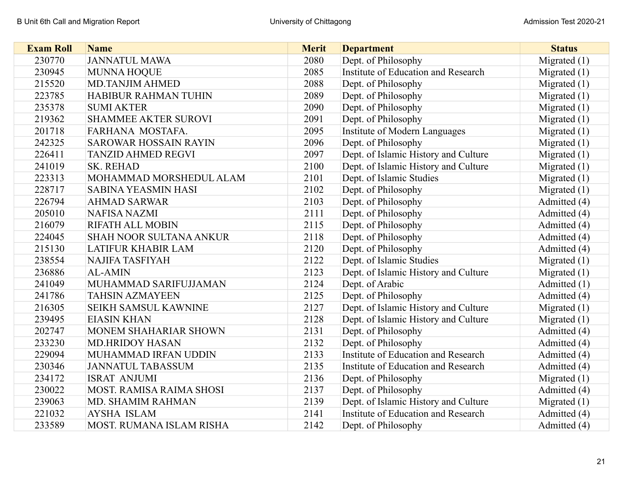| <b>Exam Roll</b> | <b>Name</b>                    | <b>Merit</b> | <b>Department</b>                    | <b>Status</b>  |
|------------------|--------------------------------|--------------|--------------------------------------|----------------|
| 230770           | <b>JANNATUL MAWA</b>           | 2080         | Dept. of Philosophy                  | Migrated $(1)$ |
| 230945           | <b>MUNNA HOQUE</b>             | 2085         | Institute of Education and Research  | Migrated $(1)$ |
| 215520           | <b>MD.TANJIM AHMED</b>         | 2088         | Dept. of Philosophy                  | Migrated $(1)$ |
| 223785           | <b>HABIBUR RAHMAN TUHIN</b>    | 2089         | Dept. of Philosophy                  | Migrated $(1)$ |
| 235378           | <b>SUMI AKTER</b>              | 2090         | Dept. of Philosophy                  | Migrated $(1)$ |
| 219362           | <b>SHAMMEE AKTER SUROVI</b>    | 2091         | Dept. of Philosophy                  | Migrated $(1)$ |
| 201718           | FARHANA MOSTAFA.               | 2095         | <b>Institute of Modern Languages</b> | Migrated $(1)$ |
| 242325           | <b>SAROWAR HOSSAIN RAYIN</b>   | 2096         | Dept. of Philosophy                  | Migrated $(1)$ |
| 226411           | <b>TANZID AHMED REGVI</b>      | 2097         | Dept. of Islamic History and Culture | Migrated $(1)$ |
| 241019           | SK. REHAD                      | 2100         | Dept. of Islamic History and Culture | Migrated $(1)$ |
| 223313           | MOHAMMAD MORSHEDUL ALAM        | 2101         | Dept. of Islamic Studies             | Migrated $(1)$ |
| 228717           | <b>SABINA YEASMIN HASI</b>     | 2102         | Dept. of Philosophy                  | Migrated $(1)$ |
| 226794           | <b>AHMAD SARWAR</b>            | 2103         | Dept. of Philosophy                  | Admitted (4)   |
| 205010           | <b>NAFISA NAZMI</b>            | 2111         | Dept. of Philosophy                  | Admitted (4)   |
| 216079           | <b>RIFATH ALL MOBIN</b>        | 2115         | Dept. of Philosophy                  | Admitted (4)   |
| 224045           | <b>SHAH NOOR SULTANA ANKUR</b> | 2118         | Dept. of Philosophy                  | Admitted (4)   |
| 215130           | <b>LATIFUR KHABIR LAM</b>      | 2120         | Dept. of Philosophy                  | Admitted (4)   |
| 238554           | <b>NAJIFA TASFIYAH</b>         | 2122         | Dept. of Islamic Studies             | Migrated $(1)$ |
| 236886           | <b>AL-AMIN</b>                 | 2123         | Dept. of Islamic History and Culture | Migrated $(1)$ |
| 241049           | MUHAMMAD SARIFUJJAMAN          | 2124         | Dept. of Arabic                      | Admitted (1)   |
| 241786           | <b>TAHSIN AZMAYEEN</b>         | 2125         | Dept. of Philosophy                  | Admitted (4)   |
| 216305           | <b>SEIKH SAMSUL KAWNINE</b>    | 2127         | Dept. of Islamic History and Culture | Migrated $(1)$ |
| 239495           | <b>EIASIN KHAN</b>             | 2128         | Dept. of Islamic History and Culture | Migrated $(1)$ |
| 202747           | MONEM SHAHARIAR SHOWN          | 2131         | Dept. of Philosophy                  | Admitted (4)   |
| 233230           | <b>MD.HRIDOY HASAN</b>         | 2132         | Dept. of Philosophy                  | Admitted (4)   |
| 229094           | MUHAMMAD IRFAN UDDIN           | 2133         | Institute of Education and Research  | Admitted (4)   |
| 230346           | <b>JANNATUL TABASSUM</b>       | 2135         | Institute of Education and Research  | Admitted (4)   |
| 234172           | <b>ISRAT ANJUMI</b>            | 2136         | Dept. of Philosophy                  | Migrated $(1)$ |
| 230022           | MOST. RAMISA RAIMA SHOSI       | 2137         | Dept. of Philosophy                  | Admitted (4)   |
| 239063           | MD. SHAMIM RAHMAN              | 2139         | Dept. of Islamic History and Culture | Migrated $(1)$ |
| 221032           | <b>AYSHA ISLAM</b>             | 2141         | Institute of Education and Research  | Admitted (4)   |
| 233589           | MOST. RUMANA ISLAM RISHA       | 2142         | Dept. of Philosophy                  | Admitted (4)   |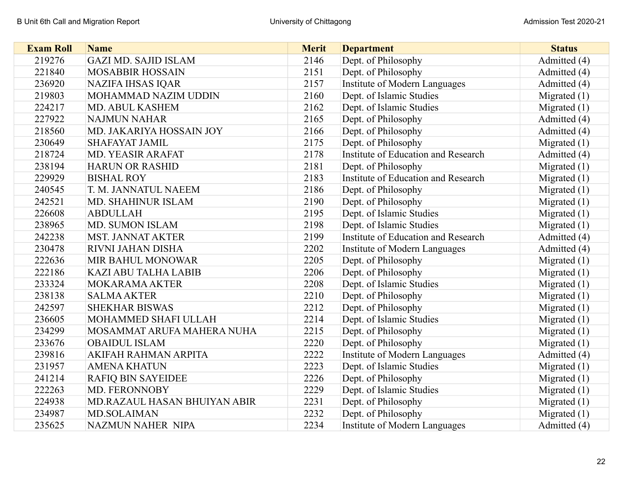| <b>Exam Roll</b> | <b>Name</b>                  | <b>Merit</b> | <b>Department</b>                    | <b>Status</b>  |
|------------------|------------------------------|--------------|--------------------------------------|----------------|
| 219276           | <b>GAZI MD. SAJID ISLAM</b>  | 2146         | Dept. of Philosophy                  | Admitted (4)   |
| 221840           | <b>MOSABBIR HOSSAIN</b>      | 2151         | Dept. of Philosophy                  | Admitted (4)   |
| 236920           | <b>NAZIFA IHSAS IQAR</b>     | 2157         | <b>Institute of Modern Languages</b> | Admitted (4)   |
| 219803           | MOHAMMAD NAZIM UDDIN         | 2160         | Dept. of Islamic Studies             | Migrated $(1)$ |
| 224217           | <b>MD. ABUL KASHEM</b>       | 2162         | Dept. of Islamic Studies             | Migrated $(1)$ |
| 227922           | <b>NAJMUN NAHAR</b>          | 2165         | Dept. of Philosophy                  | Admitted (4)   |
| 218560           | MD. JAKARIYA HOSSAIN JOY     | 2166         | Dept. of Philosophy                  | Admitted (4)   |
| 230649           | <b>SHAFAYAT JAMIL</b>        | 2175         | Dept. of Philosophy                  | Migrated $(1)$ |
| 218724           | MD. YEASIR ARAFAT            | 2178         | Institute of Education and Research  | Admitted (4)   |
| 238194           | <b>HARUN OR RASHID</b>       | 2181         | Dept. of Philosophy                  | Migrated $(1)$ |
| 229929           | <b>BISHAL ROY</b>            | 2183         | Institute of Education and Research  | Migrated $(1)$ |
| 240545           | T. M. JANNATUL NAEEM         | 2186         | Dept. of Philosophy                  | Migrated $(1)$ |
| 242521           | MD. SHAHINUR ISLAM           | 2190         | Dept. of Philosophy                  | Migrated $(1)$ |
| 226608           | <b>ABDULLAH</b>              | 2195         | Dept. of Islamic Studies             | Migrated $(1)$ |
| 238965           | MD. SUMON ISLAM              | 2198         | Dept. of Islamic Studies             | Migrated $(1)$ |
| 242238           | <b>MST. JANNAT AKTER</b>     | 2199         | Institute of Education and Research  | Admitted (4)   |
| 230478           | RIVNI JAHAN DISHA            | 2202         | <b>Institute of Modern Languages</b> | Admitted (4)   |
| 222636           | MIR BAHUL MONOWAR            | 2205         | Dept. of Philosophy                  | Migrated $(1)$ |
| 222186           | <b>KAZI ABU TALHA LABIB</b>  | 2206         | Dept. of Philosophy                  | Migrated $(1)$ |
| 233324           | MOKARAMA AKTER               | 2208         | Dept. of Islamic Studies             | Migrated $(1)$ |
| 238138           | <b>SALMA AKTER</b>           | 2210         | Dept. of Philosophy                  | Migrated $(1)$ |
| 242597           | <b>SHEKHAR BISWAS</b>        | 2212         | Dept. of Philosophy                  | Migrated $(1)$ |
| 236605           | MOHAMMED SHAFI ULLAH         | 2214         | Dept. of Islamic Studies             | Migrated $(1)$ |
| 234299           | MOSAMMAT ARUFA MAHERA NUHA   | 2215         | Dept. of Philosophy                  | Migrated $(1)$ |
| 233676           | <b>OBAIDUL ISLAM</b>         | 2220         | Dept. of Philosophy                  | Migrated $(1)$ |
| 239816           | AKIFAH RAHMAN ARPITA         | 2222         | <b>Institute of Modern Languages</b> | Admitted (4)   |
| 231957           | <b>AMENA KHATUN</b>          | 2223         | Dept. of Islamic Studies             | Migrated $(1)$ |
| 241214           | <b>RAFIQ BIN SAYEIDEE</b>    | 2226         | Dept. of Philosophy                  | Migrated $(1)$ |
| 222263           | MD. FERONNOBY                | 2229         | Dept. of Islamic Studies             | Migrated $(1)$ |
| 224938           | MD.RAZAUL HASAN BHUIYAN ABIR | 2231         | Dept. of Philosophy                  | Migrated $(1)$ |
| 234987           | <b>MD.SOLAIMAN</b>           | 2232         | Dept. of Philosophy                  | Migrated $(1)$ |
| 235625           | <b>NAZMUN NAHER NIPA</b>     | 2234         | <b>Institute of Modern Languages</b> | Admitted (4)   |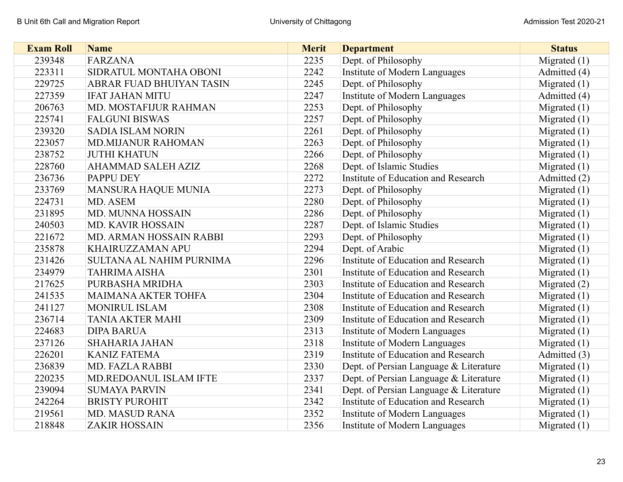| <b>Exam Roll</b> | <b>Name</b>                | <b>Merit</b> | <b>Department</b>                      | <b>Status</b>  |
|------------------|----------------------------|--------------|----------------------------------------|----------------|
| 239348           | <b>FARZANA</b>             | 2235         | Dept. of Philosophy                    | Migrated $(1)$ |
| 223311           | SIDRATUL MONTAHA OBONI     | 2242         | <b>Institute of Modern Languages</b>   | Admitted (4)   |
| 229725           | ABRAR FUAD BHUIYAN TASIN   | 2245         | Dept. of Philosophy                    | Migrated $(1)$ |
| 227359           | <b>IFAT JAHAN MITU</b>     | 2247         | <b>Institute of Modern Languages</b>   | Admitted (4)   |
| 206763           | MD. MOSTAFIJUR RAHMAN      | 2253         | Dept. of Philosophy                    | Migrated $(1)$ |
| 225741           | <b>FALGUNI BISWAS</b>      | 2257         | Dept. of Philosophy                    | Migrated $(1)$ |
| 239320           | <b>SADIA ISLAM NORIN</b>   | 2261         | Dept. of Philosophy                    | Migrated $(1)$ |
| 223057           | <b>MD.MIJANUR RAHOMAN</b>  | 2263         | Dept. of Philosophy                    | Migrated $(1)$ |
| 238752           | <b>JUTHI KHATUN</b>        | 2266         | Dept. of Philosophy                    | Migrated $(1)$ |
| 228760           | <b>AHAMMAD SALEH AZIZ</b>  | 2268         | Dept. of Islamic Studies               | Migrated $(1)$ |
| 236736           | <b>PAPPU DEY</b>           | 2272         | Institute of Education and Research    | Admitted (2)   |
| 233769           | MANSURA HAQUE MUNIA        | 2273         | Dept. of Philosophy                    | Migrated $(1)$ |
| 224731           | MD. ASEM                   | 2280         | Dept. of Philosophy                    | Migrated $(1)$ |
| 231895           | MD. MUNNA HOSSAIN          | 2286         | Dept. of Philosophy                    | Migrated $(1)$ |
| 240503           | <b>MD. KAVIR HOSSAIN</b>   | 2287         | Dept. of Islamic Studies               | Migrated $(1)$ |
| 221672           | MD. ARMAN HOSSAIN RABBI    | 2293         | Dept. of Philosophy                    | Migrated $(1)$ |
| 235878           | KHAIRUZZAMAN APU           | 2294         | Dept. of Arabic                        | Migrated $(1)$ |
| 231426           | SULTANA AL NAHIM PURNIMA   | 2296         | Institute of Education and Research    | Migrated $(1)$ |
| 234979           | <b>TAHRIMA AISHA</b>       | 2301         | Institute of Education and Research    | Migrated $(1)$ |
| 217625           | PURBASHA MRIDHA            | 2303         | Institute of Education and Research    | Migrated $(2)$ |
| 241535           | <b>MAIMANA AKTER TOHFA</b> | 2304         | Institute of Education and Research    | Migrated $(1)$ |
| 241127           | <b>MONIRUL ISLAM</b>       | 2308         | Institute of Education and Research    | Migrated $(1)$ |
| 236714           | <b>TANIA AKTER MAHI</b>    | 2309         | Institute of Education and Research    | Migrated $(1)$ |
| 224683           | <b>DIPA BARUA</b>          | 2313         | <b>Institute of Modern Languages</b>   | Migrated $(1)$ |
| 237126           | <b>SHAHARIA JAHAN</b>      | 2318         | Institute of Modern Languages          | Migrated $(1)$ |
| 226201           | <b>KANIZ FATEMA</b>        | 2319         | Institute of Education and Research    | Admitted (3)   |
| 236839           | MD. FAZLA RABBI            | 2330         | Dept. of Persian Language & Literature | Migrated $(1)$ |
| 220235           | MD.REDOANUL ISLAM IFTE     | 2337         | Dept. of Persian Language & Literature | Migrated $(1)$ |
| 239094           | <b>SUMAYA PARVIN</b>       | 2341         | Dept. of Persian Language & Literature | Migrated $(1)$ |
| 242264           | <b>BRISTY PUROHIT</b>      | 2342         | Institute of Education and Research    | Migrated $(1)$ |
| 219561           | <b>MD. MASUD RANA</b>      | 2352         | <b>Institute of Modern Languages</b>   | Migrated $(1)$ |
| 218848           | <b>ZAKIR HOSSAIN</b>       | 2356         | Institute of Modern Languages          | Migrated $(1)$ |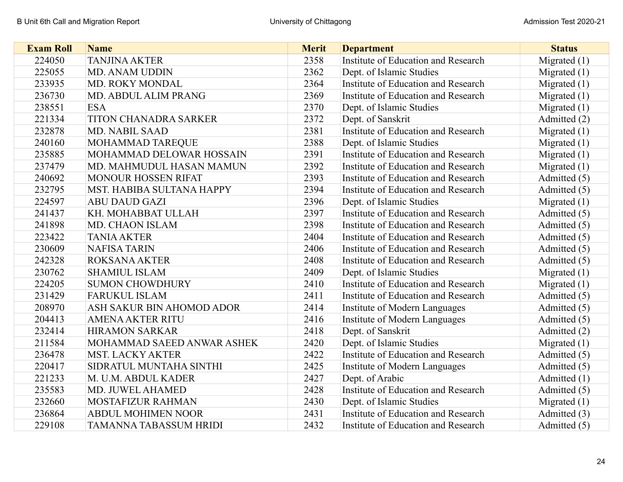| <b>Exam Roll</b> | <b>Name</b>                   | <b>Merit</b> | <b>Department</b>                   | <b>Status</b>  |
|------------------|-------------------------------|--------------|-------------------------------------|----------------|
| 224050           | <b>TANJINA AKTER</b>          | 2358         | Institute of Education and Research | Migrated $(1)$ |
| 225055           | <b>MD. ANAM UDDIN</b>         | 2362         | Dept. of Islamic Studies            | Migrated $(1)$ |
| 233935           | MD. ROKY MONDAL               | 2364         | Institute of Education and Research | Migrated $(1)$ |
| 236730           | MD. ABDUL ALIM PRANG          | 2369         | Institute of Education and Research | Migrated $(1)$ |
| 238551           | <b>ESA</b>                    | 2370         | Dept. of Islamic Studies            | Migrated $(1)$ |
| 221334           | <b>TITON CHANADRA SARKER</b>  | 2372         | Dept. of Sanskrit                   | Admitted (2)   |
| 232878           | <b>MD. NABIL SAAD</b>         | 2381         | Institute of Education and Research | Migrated $(1)$ |
| 240160           | MOHAMMAD TAREQUE              | 2388         | Dept. of Islamic Studies            | Migrated $(1)$ |
| 235885           | MOHAMMAD DELOWAR HOSSAIN      | 2391         | Institute of Education and Research | Migrated $(1)$ |
| 237479           | MD. MAHMUDUL HASAN MAMUN      | 2392         | Institute of Education and Research | Migrated $(1)$ |
| 240692           | <b>MONOUR HOSSEN RIFAT</b>    | 2393         | Institute of Education and Research | Admitted (5)   |
| 232795           | MST. HABIBA SULTANA HAPPY     | 2394         | Institute of Education and Research | Admitted (5)   |
| 224597           | <b>ABU DAUD GAZI</b>          | 2396         | Dept. of Islamic Studies            | Migrated $(1)$ |
| 241437           | KH. MOHABBAT ULLAH            | 2397         | Institute of Education and Research | Admitted (5)   |
| 241898           | MD. CHAON ISLAM               | 2398         | Institute of Education and Research | Admitted (5)   |
| 223422           | <b>TANIA AKTER</b>            | 2404         | Institute of Education and Research | Admitted (5)   |
| 230609           | <b>NAFISA TARIN</b>           | 2406         | Institute of Education and Research | Admitted (5)   |
| 242328           | <b>ROKSANA AKTER</b>          | 2408         | Institute of Education and Research | Admitted (5)   |
| 230762           | <b>SHAMIUL ISLAM</b>          | 2409         | Dept. of Islamic Studies            | Migrated $(1)$ |
| 224205           | <b>SUMON CHOWDHURY</b>        | 2410         | Institute of Education and Research | Migrated $(1)$ |
| 231429           | <b>FARUKUL ISLAM</b>          | 2411         | Institute of Education and Research | Admitted (5)   |
| 208970           | ASH SAKUR BIN AHOMOD ADOR     | 2414         | Institute of Modern Languages       | Admitted (5)   |
| 204413           | <b>AMENA AKTER RITU</b>       | 2416         | Institute of Modern Languages       | Admitted (5)   |
| 232414           | <b>HIRAMON SARKAR</b>         | 2418         | Dept. of Sanskrit                   | Admitted (2)   |
| 211584           | MOHAMMAD SAEED ANWAR ASHEK    | 2420         | Dept. of Islamic Studies            | Migrated $(1)$ |
| 236478           | <b>MST. LACKY AKTER</b>       | 2422         | Institute of Education and Research | Admitted (5)   |
| 220417           | SIDRATUL MUNTAHA SINTHI       | 2425         | Institute of Modern Languages       | Admitted (5)   |
| 221233           | M. U.M. ABDUL KADER           | 2427         | Dept. of Arabic                     | Admitted (1)   |
| 235583           | MD. JUWEL AHAMED              | 2428         | Institute of Education and Research | Admitted (5)   |
| 232660           | MOSTAFIZUR RAHMAN             | 2430         | Dept. of Islamic Studies            | Migrated $(1)$ |
| 236864           | <b>ABDUL MOHIMEN NOOR</b>     | 2431         | Institute of Education and Research | Admitted (3)   |
| 229108           | <b>TAMANNA TABASSUM HRIDI</b> | 2432         | Institute of Education and Research | Admitted (5)   |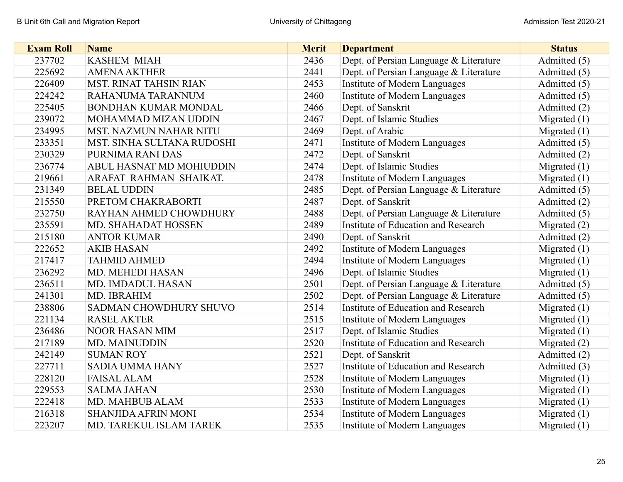| <b>Exam Roll</b> | <b>Name</b>                   | <b>Merit</b> | <b>Department</b>                          | <b>Status</b>  |
|------------------|-------------------------------|--------------|--------------------------------------------|----------------|
| 237702           | <b>KASHEM MIAH</b>            | 2436         | Dept. of Persian Language & Literature     | Admitted (5)   |
| 225692           | <b>AMENA AKTHER</b>           | 2441         | Dept. of Persian Language & Literature     | Admitted (5)   |
| 226409           | <b>MST. RINAT TAHSIN RIAN</b> | 2453         | <b>Institute of Modern Languages</b>       | Admitted (5)   |
| 224242           | RAHANUMA TARANNUM             | 2460         | Institute of Modern Languages              | Admitted (5)   |
| 225405           | <b>BONDHAN KUMAR MONDAL</b>   | 2466         | Dept. of Sanskrit                          | Admitted (2)   |
| 239072           | MOHAMMAD MIZAN UDDIN          | 2467         | Dept. of Islamic Studies                   | Migrated $(1)$ |
| 234995           | <b>MST. NAZMUN NAHAR NITU</b> | 2469         | Dept. of Arabic                            | Migrated $(1)$ |
| 233351           | MST. SINHA SULTANA RUDOSHI    | 2471         | Institute of Modern Languages              | Admitted (5)   |
| 230329           | PURNIMA RANI DAS              | 2472         | Dept. of Sanskrit                          | Admitted (2)   |
| 236774           | ABUL HASNAT MD MOHIUDDIN      | 2474         | Dept. of Islamic Studies                   | Migrated $(1)$ |
| 219661           | ARAFAT RAHMAN SHAIKAT.        | 2478         | <b>Institute of Modern Languages</b>       | Migrated $(1)$ |
| 231349           | <b>BELAL UDDIN</b>            | 2485         | Dept. of Persian Language & Literature     | Admitted (5)   |
| 215550           | PRETOM CHAKRABORTI            | 2487         | Dept. of Sanskrit                          | Admitted (2)   |
| 232750           | RAYHAN AHMED CHOWDHURY        | 2488         | Dept. of Persian Language & Literature     | Admitted (5)   |
| 235591           | MD. SHAHADAT HOSSEN           | 2489         | Institute of Education and Research        | Migrated $(2)$ |
| 215180           | <b>ANTOR KUMAR</b>            | 2490         | Dept. of Sanskrit                          | Admitted (2)   |
| 222652           | <b>AKIB HASAN</b>             | 2492         | Institute of Modern Languages              | Migrated $(1)$ |
| 217417           | <b>TAHMID AHMED</b>           | 2494         | Institute of Modern Languages              | Migrated $(1)$ |
| 236292           | MD. MEHEDI HASAN              | 2496         | Dept. of Islamic Studies                   | Migrated $(1)$ |
| 236511           | <b>MD. IMDADUL HASAN</b>      | 2501         | Dept. of Persian Language & Literature     | Admitted (5)   |
| 241301           | MD. IBRAHIM                   | 2502         | Dept. of Persian Language & Literature     | Admitted (5)   |
| 238806           | <b>SADMAN CHOWDHURY SHUVO</b> | 2514         | Institute of Education and Research        | Migrated $(1)$ |
| 221134           | <b>RASEL AKTER</b>            | 2515         | Institute of Modern Languages              | Migrated $(1)$ |
| 236486           | <b>NOOR HASAN MIM</b>         | 2517         | Dept. of Islamic Studies                   | Migrated $(1)$ |
| 217189           | MD. MAINUDDIN                 | 2520         | Institute of Education and Research        | Migrated $(2)$ |
| 242149           | <b>SUMAN ROY</b>              | 2521         | Dept. of Sanskrit                          | Admitted (2)   |
| 227711           | <b>SADIA UMMA HANY</b>        | 2527         | <b>Institute of Education and Research</b> | Admitted (3)   |
| 228120           | <b>FAISAL ALAM</b>            | 2528         | Institute of Modern Languages              | Migrated $(1)$ |
| 229553           | <b>SALMA JAHAN</b>            | 2530         | Institute of Modern Languages              | Migrated $(1)$ |
| 222418           | MD. MAHBUB ALAM               | 2533         | <b>Institute of Modern Languages</b>       | Migrated $(1)$ |
| 216318           | <b>SHANJIDA AFRIN MONI</b>    | 2534         | Institute of Modern Languages              | Migrated $(1)$ |
| 223207           | MD. TAREKUL ISLAM TAREK       | 2535         | Institute of Modern Languages              | Migrated $(1)$ |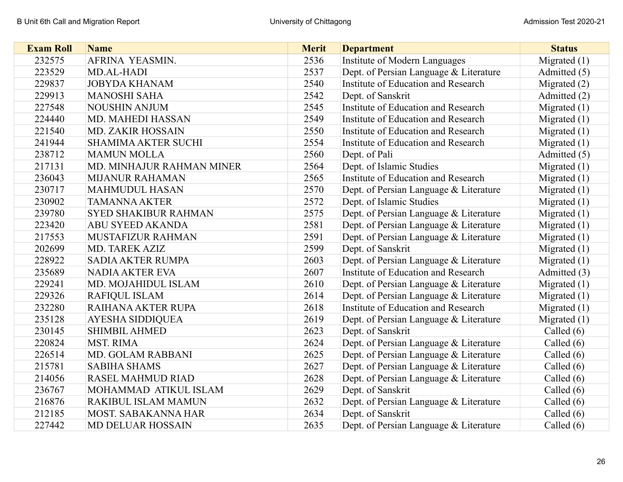| <b>Exam Roll</b> | <b>Name</b>                 | <b>Merit</b> | <b>Department</b>                      | <b>Status</b>  |
|------------------|-----------------------------|--------------|----------------------------------------|----------------|
| 232575           | AFRINA YEASMIN.             | 2536         | Institute of Modern Languages          | Migrated $(1)$ |
| 223529           | MD.AL-HADI                  | 2537         | Dept. of Persian Language & Literature | Admitted (5)   |
| 229837           | <b>JOBYDA KHANAM</b>        | 2540         | Institute of Education and Research    | Migrated $(2)$ |
| 229913           | <b>MANOSHI SAHA</b>         | 2542         | Dept. of Sanskrit                      | Admitted (2)   |
| 227548           | <b>NOUSHIN ANJUM</b>        | 2545         | Institute of Education and Research    | Migrated $(1)$ |
| 224440           | <b>MD. MAHEDI HASSAN</b>    | 2549         | Institute of Education and Research    | Migrated $(1)$ |
| 221540           | <b>MD. ZAKIR HOSSAIN</b>    | 2550         | Institute of Education and Research    | Migrated $(1)$ |
| 241944           | <b>SHAMIMA AKTER SUCHI</b>  | 2554         | Institute of Education and Research    | Migrated $(1)$ |
| 238712           | <b>MAMUN MOLLA</b>          | 2560         | Dept. of Pali                          | Admitted (5)   |
| 217131           | MD. MINHAJUR RAHMAN MINER   | 2564         | Dept. of Islamic Studies               | Migrated $(1)$ |
| 236043           | <b>MIJANUR RAHAMAN</b>      | 2565         | Institute of Education and Research    | Migrated $(1)$ |
| 230717           | <b>MAHMUDUL HASAN</b>       | 2570         | Dept. of Persian Language & Literature | Migrated $(1)$ |
| 230902           | <b>TAMANNA AKTER</b>        | 2572         | Dept. of Islamic Studies               | Migrated $(1)$ |
| 239780           | <b>SYED SHAKIBUR RAHMAN</b> | 2575         | Dept. of Persian Language & Literature | Migrated $(1)$ |
| 223420           | <b>ABU SYEED AKANDA</b>     | 2581         | Dept. of Persian Language & Literature | Migrated $(1)$ |
| 217553           | MUSTAFIZUR RAHMAN           | 2591         | Dept. of Persian Language & Literature | Migrated $(1)$ |
| 202699           | MD. TAREK AZIZ              | 2599         | Dept. of Sanskrit                      | Migrated $(1)$ |
| 228922           | <b>SADIA AKTER RUMPA</b>    | 2603         | Dept. of Persian Language & Literature | Migrated $(1)$ |
| 235689           | <b>NADIA AKTER EVA</b>      | 2607         | Institute of Education and Research    | Admitted (3)   |
| 229241           | MD. MOJAHIDUL ISLAM         | 2610         | Dept. of Persian Language & Literature | Migrated $(1)$ |
| 229326           | <b>RAFIQUL ISLAM</b>        | 2614         | Dept. of Persian Language & Literature | Migrated $(1)$ |
| 232280           | RAIHANA AKTER RUPA          | 2618         | Institute of Education and Research    | Migrated $(1)$ |
| 235128           | AYESHA SIDDIQUEA            | 2619         | Dept. of Persian Language & Literature | Migrated (1)   |
| 230145           | <b>SHIMBIL AHMED</b>        | 2623         | Dept. of Sanskrit                      | Called $(6)$   |
| 220824           | <b>MST. RIMA</b>            | 2624         | Dept. of Persian Language & Literature | Called $(6)$   |
| 226514           | MD. GOLAM RABBANI           | 2625         | Dept. of Persian Language & Literature | Called $(6)$   |
| 215781           | <b>SABIHA SHAMS</b>         | 2627         | Dept. of Persian Language & Literature | Called $(6)$   |
| 214056           | <b>RASEL MAHMUD RIAD</b>    | 2628         | Dept. of Persian Language & Literature | Called $(6)$   |
| 236767           | MOHAMMAD ATIKUL ISLAM       | 2629         | Dept. of Sanskrit                      | Called $(6)$   |
| 216876           | RAKIBUL ISLAM MAMUN         | 2632         | Dept. of Persian Language & Literature | Called $(6)$   |
| 212185           | MOST. SABAKANNA HAR         | 2634         | Dept. of Sanskrit                      | Called (6)     |
| 227442           | <b>MD DELUAR HOSSAIN</b>    | 2635         | Dept. of Persian Language & Literature | Called (6)     |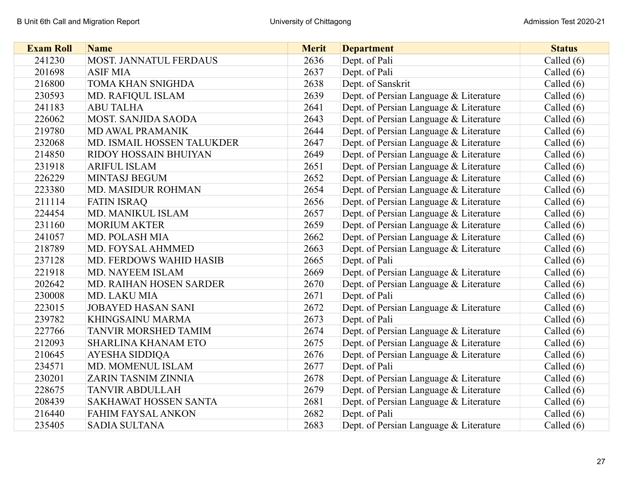| <b>Exam Roll</b> | <b>Name</b>                    | <b>Merit</b> | <b>Department</b>                      | <b>Status</b> |
|------------------|--------------------------------|--------------|----------------------------------------|---------------|
| 241230           | MOST. JANNATUL FERDAUS         | 2636         | Dept. of Pali                          | Called $(6)$  |
| 201698           | <b>ASIF MIA</b>                | 2637         | Dept. of Pali                          | Called $(6)$  |
| 216800           | TOMA KHAN SNIGHDA              | 2638         | Dept. of Sanskrit                      | Called (6)    |
| 230593           | MD. RAFIQUL ISLAM              | 2639         | Dept. of Persian Language & Literature | Called $(6)$  |
| 241183           | <b>ABU TALHA</b>               | 2641         | Dept. of Persian Language & Literature | Called $(6)$  |
| 226062           | MOST. SANJIDA SAODA            | 2643         | Dept. of Persian Language & Literature | Called $(6)$  |
| 219780           | <b>MD AWAL PRAMANIK</b>        | 2644         | Dept. of Persian Language & Literature | Called $(6)$  |
| 232068           | MD. ISMAIL HOSSEN TALUKDER     | 2647         | Dept. of Persian Language & Literature | Called $(6)$  |
| 214850           | RIDOY HOSSAIN BHUIYAN          | 2649         | Dept. of Persian Language & Literature | Called $(6)$  |
| 231918           | <b>ARIFUL ISLAM</b>            | 2651         | Dept. of Persian Language & Literature | Called $(6)$  |
| 226229           | MINTASJ BEGUM                  | 2652         | Dept. of Persian Language & Literature | Called $(6)$  |
| 223380           | <b>MD. MASIDUR ROHMAN</b>      | 2654         | Dept. of Persian Language & Literature | Called $(6)$  |
| 211114           | <b>FATIN ISRAQ</b>             | 2656         | Dept. of Persian Language & Literature | Called $(6)$  |
| 224454           | MD. MANIKUL ISLAM              | 2657         | Dept. of Persian Language & Literature | Called $(6)$  |
| 231160           | <b>MORIUM AKTER</b>            | 2659         | Dept. of Persian Language & Literature | Called $(6)$  |
| 241057           | <b>MD. POLASH MIA</b>          | 2662         | Dept. of Persian Language & Literature | Called $(6)$  |
| 218789           | MD. FOYSAL AHMMED              | 2663         | Dept. of Persian Language & Literature | Called $(6)$  |
| 237128           | <b>MD. FERDOWS WAHID HASIB</b> | 2665         | Dept. of Pali                          | Called $(6)$  |
| 221918           | MD. NAYEEM ISLAM               | 2669         | Dept. of Persian Language & Literature | Called $(6)$  |
| 202642           | <b>MD. RAIHAN HOSEN SARDER</b> | 2670         | Dept. of Persian Language & Literature | Called $(6)$  |
| 230008           | MD. LAKU MIA                   | 2671         | Dept. of Pali                          | Called $(6)$  |
| 223015           | <b>JOBAYED HASAN SANI</b>      | 2672         | Dept. of Persian Language & Literature | Called $(6)$  |
| 239782           | <b>KHINGSAINU MARMA</b>        | 2673         | Dept. of Pali                          | Called $(6)$  |
| 227766           | TANVIR MORSHED TAMIM           | 2674         | Dept. of Persian Language & Literature | Called $(6)$  |
| 212093           | <b>SHARLINA KHANAM ETO</b>     | 2675         | Dept. of Persian Language & Literature | Called $(6)$  |
| 210645           | <b>AYESHA SIDDIQA</b>          | 2676         | Dept. of Persian Language & Literature | Called $(6)$  |
| 234571           | MD. MOMENUL ISLAM              | 2677         | Dept. of Pali                          | Called $(6)$  |
| 230201           | ZARIN TASNIM ZINNIA            | 2678         | Dept. of Persian Language & Literature | Called $(6)$  |
| 228675           | <b>TANVIR ABDULLAH</b>         | 2679         | Dept. of Persian Language & Literature | Called $(6)$  |
| 208439           | SAKHAWAT HOSSEN SANTA          | 2681         | Dept. of Persian Language & Literature | Called $(6)$  |
| 216440           | FAHIM FAYSAL ANKON             | 2682         | Dept. of Pali                          | Called $(6)$  |
| 235405           | <b>SADIA SULTANA</b>           | 2683         | Dept. of Persian Language & Literature | Called (6)    |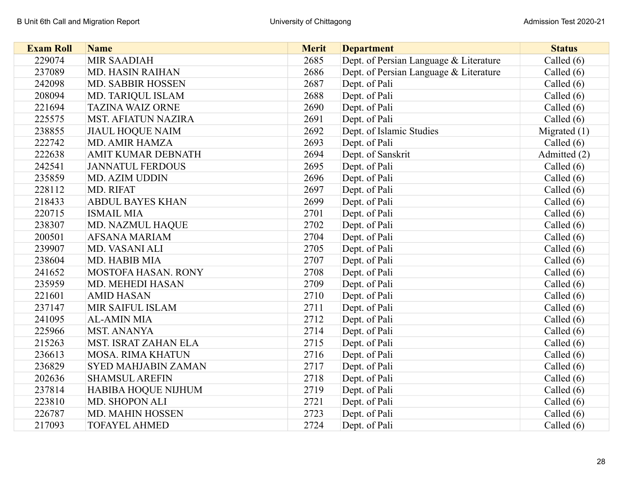| <b>Exam Roll</b> | <b>Name</b>                | <b>Merit</b> | <b>Department</b>                      | <b>Status</b>  |
|------------------|----------------------------|--------------|----------------------------------------|----------------|
| 229074           | <b>MIR SAADIAH</b>         | 2685         | Dept. of Persian Language & Literature | Called (6)     |
| 237089           | <b>MD. HASIN RAIHAN</b>    | 2686         | Dept. of Persian Language & Literature | Called $(6)$   |
| 242098           | <b>MD. SABBIR HOSSEN</b>   | 2687         | Dept. of Pali                          | Called $(6)$   |
| 208094           | MD. TARIQUL ISLAM          | 2688         | Dept. of Pali                          | Called $(6)$   |
| 221694           | <b>TAZINA WAIZ ORNE</b>    | 2690         | Dept. of Pali                          | Called $(6)$   |
| 225575           | <b>MST. AFIATUN NAZIRA</b> | 2691         | Dept. of Pali                          | Called $(6)$   |
| 238855           | <b>JIAUL HOQUE NAIM</b>    | 2692         | Dept. of Islamic Studies               | Migrated $(1)$ |
| 222742           | MD. AMIR HAMZA             | 2693         | Dept. of Pali                          | Called $(6)$   |
| 222638           | AMIT KUMAR DEBNATH         | 2694         | Dept. of Sanskrit                      | Admitted (2)   |
| 242541           | <b>JANNATUL FERDOUS</b>    | 2695         | Dept. of Pali                          | Called $(6)$   |
| 235859           | <b>MD. AZIM UDDIN</b>      | 2696         | Dept. of Pali                          | Called (6)     |
| 228112           | MD. RIFAT                  | 2697         | Dept. of Pali                          | Called $(6)$   |
| 218433           | <b>ABDUL BAYES KHAN</b>    | 2699         | Dept. of Pali                          | Called $(6)$   |
| 220715           | <b>ISMAIL MIA</b>          | 2701         | Dept. of Pali                          | Called (6)     |
| 238307           | MD. NAZMUL HAQUE           | 2702         | Dept. of Pali                          | Called $(6)$   |
| 200501           | <b>AFSANA MARIAM</b>       | 2704         | Dept. of Pali                          | Called $(6)$   |
| 239907           | MD. VASANI ALI             | 2705         | Dept. of Pali                          | Called $(6)$   |
| 238604           | MD. HABIB MIA              | 2707         | Dept. of Pali                          | Called (6)     |
| 241652           | <b>MOSTOFA HASAN. RONY</b> | 2708         | Dept. of Pali                          | Called $(6)$   |
| 235959           | MD. MEHEDI HASAN           | 2709         | Dept. of Pali                          | Called $(6)$   |
| 221601           | <b>AMID HASAN</b>          | 2710         | Dept. of Pali                          | Called $(6)$   |
| 237147           | <b>MIR SAIFUL ISLAM</b>    | 2711         | Dept. of Pali                          | Called $(6)$   |
| 241095           | <b>AL-AMIN MIA</b>         | 2712         | Dept. of Pali                          | Called $(6)$   |
| 225966           | <b>MST. ANANYA</b>         | 2714         | Dept. of Pali                          | Called (6)     |
| 215263           | MST. ISRAT ZAHAN ELA       | 2715         | Dept. of Pali                          | Called $(6)$   |
| 236613           | <b>MOSA. RIMA KHATUN</b>   | 2716         | Dept. of Pali                          | Called (6)     |
| 236829           | <b>SYED MAHJABIN ZAMAN</b> | 2717         | Dept. of Pali                          | Called $(6)$   |
| 202636           | <b>SHAMSUL AREFIN</b>      | 2718         | Dept. of Pali                          | Called $(6)$   |
| 237814           | HABIBA HOQUE NIJHUM        | 2719         | Dept. of Pali                          | Called $(6)$   |
| 223810           | MD. SHOPON ALI             | 2721         | Dept. of Pali                          | Called $(6)$   |
| 226787           | MD. MAHIN HOSSEN           | 2723         | Dept. of Pali                          | Called $(6)$   |
| 217093           | <b>TOFAYEL AHMED</b>       | 2724         | Dept. of Pali                          | Called (6)     |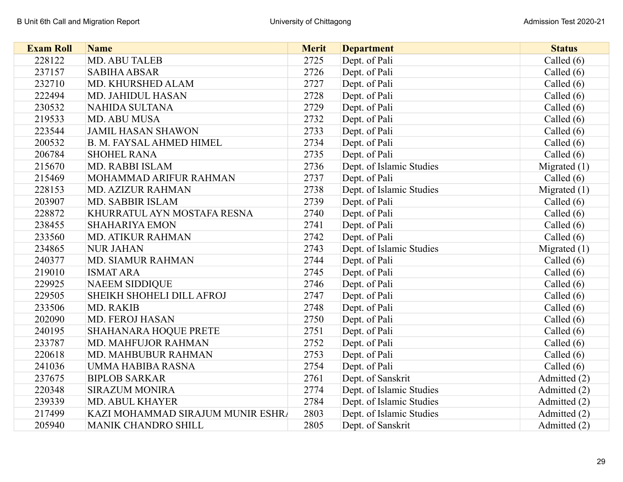| <b>Exam Roll</b> | <b>Name</b>                       | <b>Merit</b> | <b>Department</b>        | <b>Status</b>  |
|------------------|-----------------------------------|--------------|--------------------------|----------------|
| 228122           | MD. ABU TALEB                     | 2725         | Dept. of Pali            | Called (6)     |
| 237157           | <b>SABIHA ABSAR</b>               | 2726         | Dept. of Pali            | Called $(6)$   |
| 232710           | MD. KHURSHED ALAM                 | 2727         | Dept. of Pali            | Called (6)     |
| 222494           | MD. JAHIDUL HASAN                 | 2728         | Dept. of Pali            | Called $(6)$   |
| 230532           | <b>NAHIDA SULTANA</b>             | 2729         | Dept. of Pali            | Called $(6)$   |
| 219533           | MD. ABU MUSA                      | 2732         | Dept. of Pali            | Called $(6)$   |
| 223544           | <b>JAMIL HASAN SHAWON</b>         | 2733         | Dept. of Pali            | Called $(6)$   |
| 200532           | <b>B. M. FAYSAL AHMED HIMEL</b>   | 2734         | Dept. of Pali            | Called $(6)$   |
| 206784           | <b>SHOHEL RANA</b>                | 2735         | Dept. of Pali            | Called $(6)$   |
| 215670           | MD. RABBI ISLAM                   | 2736         | Dept. of Islamic Studies | Migrated $(1)$ |
| 215469           | MOHAMMAD ARIFUR RAHMAN            | 2737         | Dept. of Pali            | Called $(6)$   |
| 228153           | <b>MD. AZIZUR RAHMAN</b>          | 2738         | Dept. of Islamic Studies | Migrated $(1)$ |
| 203907           | MD. SABBIR ISLAM                  | 2739         | Dept. of Pali            | Called $(6)$   |
| 228872           | KHURRATUL AYN MOSTAFA RESNA       | 2740         | Dept. of Pali            | Called $(6)$   |
| 238455           | <b>SHAHARIYA EMON</b>             | 2741         | Dept. of Pali            | Called $(6)$   |
| 233560           | MD. ATIKUR RAHMAN                 | 2742         | Dept. of Pali            | Called $(6)$   |
| 234865           | <b>NUR JAHAN</b>                  | 2743         | Dept. of Islamic Studies | Migrated $(1)$ |
| 240377           | <b>MD. SIAMUR RAHMAN</b>          | 2744         | Dept. of Pali            | Called $(6)$   |
| 219010           | <b>ISMAT ARA</b>                  | 2745         | Dept. of Pali            | Called $(6)$   |
| 229925           | <b>NAEEM SIDDIQUE</b>             | 2746         | Dept. of Pali            | Called (6)     |
| 229505           | SHEIKH SHOHELI DILL AFROJ         | 2747         | Dept. of Pali            | Called $(6)$   |
| 233506           | MD. RAKIB                         | 2748         | Dept. of Pali            | Called $(6)$   |
| 202090           | MD. FEROJ HASAN                   | 2750         | Dept. of Pali            | Called $(6)$   |
| 240195           | <b>SHAHANARA HOQUE PRETE</b>      | 2751         | Dept. of Pali            | Called $(6)$   |
| 233787           | MD. MAHFUJOR RAHMAN               | 2752         | Dept. of Pali            | Called $(6)$   |
| 220618           | MD. MAHBUBUR RAHMAN               | 2753         | Dept. of Pali            | Called $(6)$   |
| 241036           | UMMA HABIBA RASNA                 | 2754         | Dept. of Pali            | Called $(6)$   |
| 237675           | <b>BIPLOB SARKAR</b>              | 2761         | Dept. of Sanskrit        | Admitted (2)   |
| 220348           | <b>SIRAZUM MONIRA</b>             | 2774         | Dept. of Islamic Studies | Admitted (2)   |
| 239339           | <b>MD. ABUL KHAYER</b>            | 2784         | Dept. of Islamic Studies | Admitted (2)   |
| 217499           | KAZI MOHAMMAD SIRAJUM MUNIR ESHRA | 2803         | Dept. of Islamic Studies | Admitted (2)   |
| 205940           | <b>MANIK CHANDRO SHILL</b>        | 2805         | Dept. of Sanskrit        | Admitted (2)   |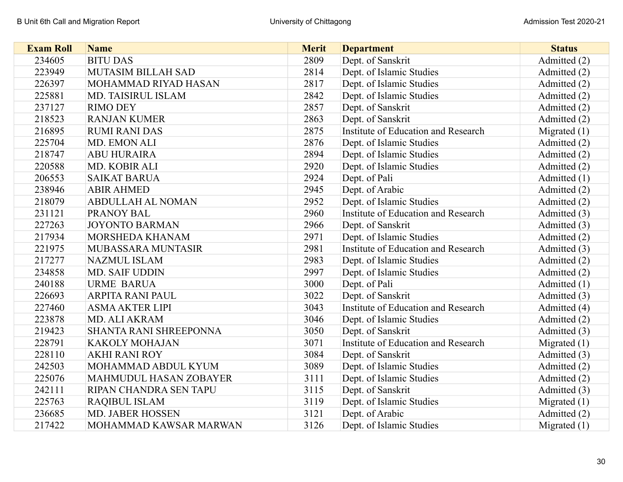| <b>Exam Roll</b> | <b>Name</b>                   | <b>Merit</b> | <b>Department</b>                   | <b>Status</b>  |
|------------------|-------------------------------|--------------|-------------------------------------|----------------|
| 234605           | <b>BITU DAS</b>               | 2809         | Dept. of Sanskrit                   | Admitted (2)   |
| 223949           | <b>MUTASIM BILLAH SAD</b>     | 2814         | Dept. of Islamic Studies            | Admitted (2)   |
| 226397           | MOHAMMAD RIYAD HASAN          | 2817         | Dept. of Islamic Studies            | Admitted (2)   |
| 225881           | MD. TAISIRUL ISLAM            | 2842         | Dept. of Islamic Studies            | Admitted (2)   |
| 237127           | <b>RIMO DEY</b>               | 2857         | Dept. of Sanskrit                   | Admitted (2)   |
| 218523           | <b>RANJAN KUMER</b>           | 2863         | Dept. of Sanskrit                   | Admitted (2)   |
| 216895           | <b>RUMI RANI DAS</b>          | 2875         | Institute of Education and Research | Migrated $(1)$ |
| 225704           | MD. EMON ALI                  | 2876         | Dept. of Islamic Studies            | Admitted (2)   |
| 218747           | <b>ABU HURAIRA</b>            | 2894         | Dept. of Islamic Studies            | Admitted (2)   |
| 220588           | MD. KOBIR ALI                 | 2920         | Dept. of Islamic Studies            | Admitted (2)   |
| 206553           | <b>SAIKAT BARUA</b>           | 2924         | Dept. of Pali                       | Admitted (1)   |
| 238946           | <b>ABIR AHMED</b>             | 2945         | Dept. of Arabic                     | Admitted (2)   |
| 218079           | <b>ABDULLAH AL NOMAN</b>      | 2952         | Dept. of Islamic Studies            | Admitted (2)   |
| 231121           | <b>PRANOY BAL</b>             | 2960         | Institute of Education and Research | Admitted (3)   |
| 227263           | <b>JOYONTO BARMAN</b>         | 2966         | Dept. of Sanskrit                   | Admitted (3)   |
| 217934           | MORSHEDA KHANAM               | 2971         | Dept. of Islamic Studies            | Admitted (2)   |
| 221975           | MUBASSARA MUNTASIR            | 2981         | Institute of Education and Research | Admitted (3)   |
| 217277           | <b>NAZMUL ISLAM</b>           | 2983         | Dept. of Islamic Studies            | Admitted (2)   |
| 234858           | <b>MD. SAIF UDDIN</b>         | 2997         | Dept. of Islamic Studies            | Admitted (2)   |
| 240188           | <b>URME BARUA</b>             | 3000         | Dept. of Pali                       | Admitted (1)   |
| 226693           | <b>ARPITA RANI PAUL</b>       | 3022         | Dept. of Sanskrit                   | Admitted (3)   |
| 227460           | <b>ASMA AKTER LIPI</b>        | 3043         | Institute of Education and Research | Admitted (4)   |
| 223878           | <b>MD. ALI AKRAM</b>          | 3046         | Dept. of Islamic Studies            | Admitted (2)   |
| 219423           | SHANTA RANI SHREEPONNA        | 3050         | Dept. of Sanskrit                   | Admitted (3)   |
| 228791           | <b>KAKOLY MOHAJAN</b>         | 3071         | Institute of Education and Research | Migrated $(1)$ |
| 228110           | <b>AKHI RANI ROY</b>          | 3084         | Dept. of Sanskrit                   | Admitted (3)   |
| 242503           | MOHAMMAD ABDUL KYUM           | 3089         | Dept. of Islamic Studies            | Admitted (2)   |
| 225076           | <b>MAHMUDUL HASAN ZOBAYER</b> | 3111         | Dept. of Islamic Studies            | Admitted (2)   |
| 242111           | RIPAN CHANDRA SEN TAPU        | 3115         | Dept. of Sanskrit                   | Admitted (3)   |
| 225763           | <b>RAQIBUL ISLAM</b>          | 3119         | Dept. of Islamic Studies            | Migrated $(1)$ |
| 236685           | <b>MD. JABER HOSSEN</b>       | 3121         | Dept. of Arabic                     | Admitted (2)   |
| 217422           | MOHAMMAD KAWSAR MARWAN        | 3126         | Dept. of Islamic Studies            | Migrated $(1)$ |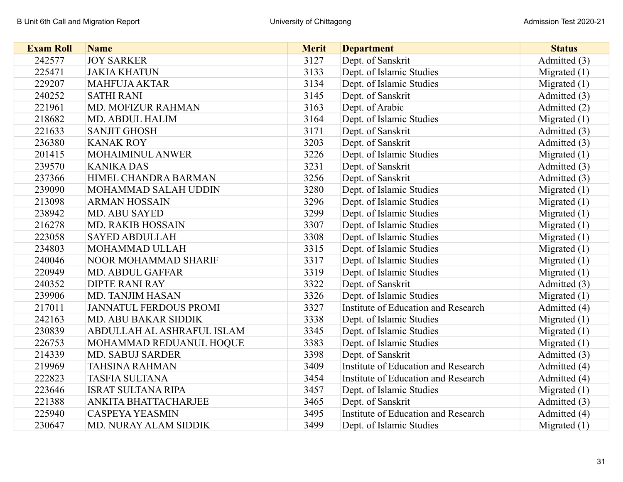| <b>Exam Roll</b> | <b>Name</b>                   | <b>Merit</b> | <b>Department</b>                   | <b>Status</b>  |
|------------------|-------------------------------|--------------|-------------------------------------|----------------|
| 242577           | <b>JOY SARKER</b>             | 3127         | Dept. of Sanskrit                   | Admitted (3)   |
| 225471           | <b>JAKIA KHATUN</b>           | 3133         | Dept. of Islamic Studies            | Migrated $(1)$ |
| 229207           | <b>MAHFUJA AKTAR</b>          | 3134         | Dept. of Islamic Studies            | Migrated $(1)$ |
| 240252           | <b>SATHI RANI</b>             | 3145         | Dept. of Sanskrit                   | Admitted (3)   |
| 221961           | <b>MD. MOFIZUR RAHMAN</b>     | 3163         | Dept. of Arabic                     | Admitted (2)   |
| 218682           | <b>MD. ABDUL HALIM</b>        | 3164         | Dept. of Islamic Studies            | Migrated $(1)$ |
| 221633           | <b>SANJIT GHOSH</b>           | 3171         | Dept. of Sanskrit                   | Admitted (3)   |
| 236380           | <b>KANAK ROY</b>              | 3203         | Dept. of Sanskrit                   | Admitted (3)   |
| 201415           | MOHAIMINUL ANWER              | 3226         | Dept. of Islamic Studies            | Migrated $(1)$ |
| 239570           | <b>KANIKA DAS</b>             | 3231         | Dept. of Sanskrit                   | Admitted (3)   |
| 237366           | HIMEL CHANDRA BARMAN          | 3256         | Dept. of Sanskrit                   | Admitted (3)   |
| 239090           | MOHAMMAD SALAH UDDIN          | 3280         | Dept. of Islamic Studies            | Migrated $(1)$ |
| 213098           | <b>ARMAN HOSSAIN</b>          | 3296         | Dept. of Islamic Studies            | Migrated $(1)$ |
| 238942           | <b>MD. ABU SAYED</b>          | 3299         | Dept. of Islamic Studies            | Migrated $(1)$ |
| 216278           | <b>MD. RAKIB HOSSAIN</b>      | 3307         | Dept. of Islamic Studies            | Migrated $(1)$ |
| 223058           | <b>SAYED ABDULLAH</b>         | 3308         | Dept. of Islamic Studies            | Migrated $(1)$ |
| 234803           | MOHAMMAD ULLAH                | 3315         | Dept. of Islamic Studies            | Migrated $(1)$ |
| 240046           | <b>NOOR MOHAMMAD SHARIF</b>   | 3317         | Dept. of Islamic Studies            | Migrated $(1)$ |
| 220949           | <b>MD. ABDUL GAFFAR</b>       | 3319         | Dept. of Islamic Studies            | Migrated (1)   |
| 240352           | <b>DIPTE RANI RAY</b>         | 3322         | Dept. of Sanskrit                   | Admitted (3)   |
| 239906           | <b>MD. TANJIM HASAN</b>       | 3326         | Dept. of Islamic Studies            | Migrated $(1)$ |
| 217011           | <b>JANNATUL FERDOUS PROMI</b> | 3327         | Institute of Education and Research | Admitted (4)   |
| 242163           | <b>MD. ABU BAKAR SIDDIK</b>   | 3338         | Dept. of Islamic Studies            | Migrated $(1)$ |
| 230839           | ABDULLAH AL ASHRAFUL ISLAM    | 3345         | Dept. of Islamic Studies            | Migrated $(1)$ |
| 226753           | MOHAMMAD REDUANUL HOQUE       | 3383         | Dept. of Islamic Studies            | Migrated $(1)$ |
| 214339           | <b>MD. SABUJ SARDER</b>       | 3398         | Dept. of Sanskrit                   | Admitted (3)   |
| 219969           | <b>TAHSINA RAHMAN</b>         | 3409         | Institute of Education and Research | Admitted (4)   |
| 222823           | <b>TASFIA SULTANA</b>         | 3454         | Institute of Education and Research | Admitted (4)   |
| 223646           | <b>ISRAT SULTANA RIPA</b>     | 3457         | Dept. of Islamic Studies            | Migrated $(1)$ |
| 221388           | ANKITA BHATTACHARJEE          | 3465         | Dept. of Sanskrit                   | Admitted (3)   |
| 225940           | <b>CASPEYA YEASMIN</b>        | 3495         | Institute of Education and Research | Admitted (4)   |
| 230647           | MD. NURAY ALAM SIDDIK         | 3499         | Dept. of Islamic Studies            | Migrated $(1)$ |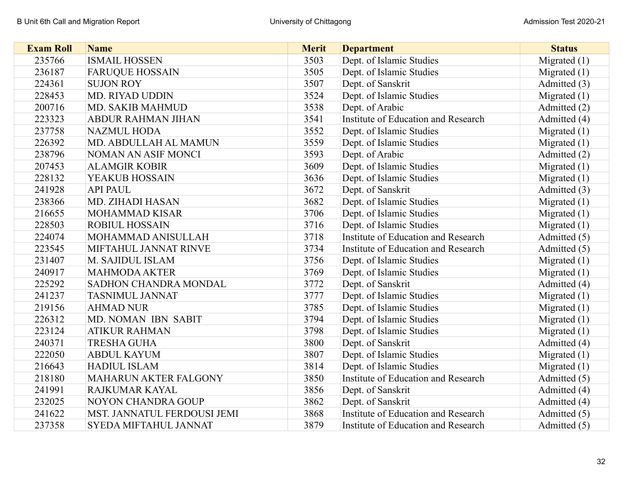| <b>Exam Roll</b> | <b>Name</b>                  | <b>Merit</b> | <b>Department</b>                   | <b>Status</b>  |
|------------------|------------------------------|--------------|-------------------------------------|----------------|
| 235766           | <b>ISMAIL HOSSEN</b>         | 3503         | Dept. of Islamic Studies            | Migrated $(1)$ |
| 236187           | <b>FARUQUE HOSSAIN</b>       | 3505         | Dept. of Islamic Studies            | Migrated $(1)$ |
| 224361           | <b>SUJON ROY</b>             | 3507         | Dept. of Sanskrit                   | Admitted (3)   |
| 228453           | <b>MD. RIYAD UDDIN</b>       | 3524         | Dept. of Islamic Studies            | Migrated $(1)$ |
| 200716           | <b>MD. SAKIB MAHMUD</b>      | 3538         | Dept. of Arabic                     | Admitted (2)   |
| 223323           | <b>ABDUR RAHMAN JIHAN</b>    | 3541         | Institute of Education and Research | Admitted (4)   |
| 237758           | <b>NAZMUL HODA</b>           | 3552         | Dept. of Islamic Studies            | Migrated $(1)$ |
| 226392           | MD. ABDULLAH AL MAMUN        | 3559         | Dept. of Islamic Studies            | Migrated $(1)$ |
| 238796           | NOMAN AN ASIF MONCI          | 3593         | Dept. of Arabic                     | Admitted (2)   |
| 207453           | <b>ALAMGIR KOBIR</b>         | 3609         | Dept. of Islamic Studies            | Migrated $(1)$ |
| 228132           | YEAKUB HOSSAIN               | 3636         | Dept. of Islamic Studies            | Migrated $(1)$ |
| 241928           | <b>API PAUL</b>              | 3672         | Dept. of Sanskrit                   | Admitted (3)   |
| 238366           | <b>MD. ZIHADI HASAN</b>      | 3682         | Dept. of Islamic Studies            | Migrated $(1)$ |
| 216655           | <b>MOHAMMAD KISAR</b>        | 3706         | Dept. of Islamic Studies            | Migrated $(1)$ |
| 228503           | <b>ROBIUL HOSSAIN</b>        | 3716         | Dept. of Islamic Studies            | Migrated $(1)$ |
| 224074           | MOHAMMAD ANISULLAH           | 3718         | Institute of Education and Research | Admitted (5)   |
| 223545           | MIFTAHUL JANNAT RINVE        | 3734         | Institute of Education and Research | Admitted (5)   |
| 231407           | M. SAJIDUL ISLAM             | 3756         | Dept. of Islamic Studies            | Migrated $(1)$ |
| 240917           | <b>MAHMODA AKTER</b>         | 3769         | Dept. of Islamic Studies            | Migrated $(1)$ |
| 225292           | SADHON CHANDRA MONDAL        | 3772         | Dept. of Sanskrit                   | Admitted (4)   |
| 241237           | <b>TASNIMUL JANNAT</b>       | 3777         | Dept. of Islamic Studies            | Migrated $(1)$ |
| 219156           | <b>AHMAD NUR</b>             | 3785         | Dept. of Islamic Studies            | Migrated $(1)$ |
| 226312           | MD. NOMAN IBN SABIT          | 3794         | Dept. of Islamic Studies            | Migrated $(1)$ |
| 223124           | <b>ATIKUR RAHMAN</b>         | 3798         | Dept. of Islamic Studies            | Migrated (1)   |
| 240371           | <b>TRESHA GUHA</b>           | 3800         | Dept. of Sanskrit                   | Admitted (4)   |
| 222050           | <b>ABDUL KAYUM</b>           | 3807         | Dept. of Islamic Studies            | Migrated $(1)$ |
| 216643           | <b>HADIUL ISLAM</b>          | 3814         | Dept. of Islamic Studies            | Migrated $(1)$ |
| 218180           | <b>MAHARUN AKTER FALGONY</b> | 3850         | Institute of Education and Research | Admitted (5)   |
| 241991           | RAJKUMAR KAYAL               | 3856         | Dept. of Sanskrit                   | Admitted (4)   |
| 232025           | <b>NOYON CHANDRA GOUP</b>    | 3862         | Dept. of Sanskrit                   | Admitted (4)   |
| 241622           | MST. JANNATUL FERDOUSI JEMI  | 3868         | Institute of Education and Research | Admitted (5)   |
| 237358           | <b>SYEDA MIFTAHUL JANNAT</b> | 3879         | Institute of Education and Research | Admitted (5)   |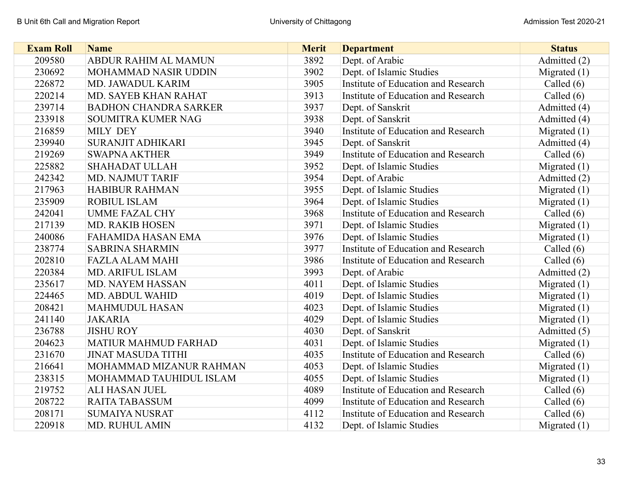| <b>Exam Roll</b> | <b>Name</b>                  | <b>Merit</b> | <b>Department</b>                   | <b>Status</b>  |
|------------------|------------------------------|--------------|-------------------------------------|----------------|
| 209580           | ABDUR RAHIM AL MAMUN         | 3892         | Dept. of Arabic                     | Admitted (2)   |
| 230692           | MOHAMMAD NASIR UDDIN         | 3902         | Dept. of Islamic Studies            | Migrated $(1)$ |
| 226872           | MD. JAWADUL KARIM            | 3905         | Institute of Education and Research | Called $(6)$   |
| 220214           | MD. SAYEB KHAN RAHAT         | 3913         | Institute of Education and Research | Called $(6)$   |
| 239714           | <b>BADHON CHANDRA SARKER</b> | 3937         | Dept. of Sanskrit                   | Admitted (4)   |
| 233918           | <b>SOUMITRA KUMER NAG</b>    | 3938         | Dept. of Sanskrit                   | Admitted (4)   |
| 216859           | <b>MILY DEY</b>              | 3940         | Institute of Education and Research | Migrated $(1)$ |
| 239940           | <b>SURANJIT ADHIKARI</b>     | 3945         | Dept. of Sanskrit                   | Admitted (4)   |
| 219269           | <b>SWAPNA AKTHER</b>         | 3949         | Institute of Education and Research | Called $(6)$   |
| 225882           | <b>SHAHADAT ULLAH</b>        | 3952         | Dept. of Islamic Studies            | Migrated $(1)$ |
| 242342           | MD. NAJMUT TARIF             | 3954         | Dept. of Arabic                     | Admitted (2)   |
| 217963           | <b>HABIBUR RAHMAN</b>        | 3955         | Dept. of Islamic Studies            | Migrated $(1)$ |
| 235909           | <b>ROBIUL ISLAM</b>          | 3964         | Dept. of Islamic Studies            | Migrated $(1)$ |
| 242041           | <b>UMME FAZAL CHY</b>        | 3968         | Institute of Education and Research | Called $(6)$   |
| 217139           | <b>MD. RAKIB HOSEN</b>       | 3971         | Dept. of Islamic Studies            | Migrated $(1)$ |
| 240086           | <b>FAHAMIDA HASAN EMA</b>    | 3976         | Dept. of Islamic Studies            | Migrated $(1)$ |
| 238774           | <b>SABRINA SHARMIN</b>       | 3977         | Institute of Education and Research | Called $(6)$   |
| 202810           | <b>FAZLA ALAM MAHI</b>       | 3986         | Institute of Education and Research | Called $(6)$   |
| 220384           | MD. ARIFUL ISLAM             | 3993         | Dept. of Arabic                     | Admitted (2)   |
| 235617           | MD. NAYEM HASSAN             | 4011         | Dept. of Islamic Studies            | Migrated $(1)$ |
| 224465           | <b>MD. ABDUL WAHID</b>       | 4019         | Dept. of Islamic Studies            | Migrated $(1)$ |
| 208421           | <b>MAHMUDUL HASAN</b>        | 4023         | Dept. of Islamic Studies            | Migrated $(1)$ |
| 241140           | <b>JAKARIA</b>               | 4029         | Dept. of Islamic Studies            | Migrated $(1)$ |
| 236788           | <b>JISHU ROY</b>             | 4030         | Dept. of Sanskrit                   | Admitted (5)   |
| 204623           | <b>MATIUR MAHMUD FARHAD</b>  | 4031         | Dept. of Islamic Studies            | Migrated $(1)$ |
| 231670           | <b>JINAT MASUDA TITHI</b>    | 4035         | Institute of Education and Research | Called $(6)$   |
| 216641           | MOHAMMAD MIZANUR RAHMAN      | 4053         | Dept. of Islamic Studies            | Migrated $(1)$ |
| 238315           | MOHAMMAD TAUHIDUL ISLAM      | 4055         | Dept. of Islamic Studies            | Migrated $(1)$ |
| 219752           | <b>ALI HASAN JUEL</b>        | 4089         | Institute of Education and Research | Called $(6)$   |
| 208722           | <b>RAITA TABASSUM</b>        | 4099         | Institute of Education and Research | Called $(6)$   |
| 208171           | <b>SUMAIYA NUSRAT</b>        | 4112         | Institute of Education and Research | Called $(6)$   |
| 220918           | <b>MD. RUHUL AMIN</b>        | 4132         | Dept. of Islamic Studies            | Migrated $(1)$ |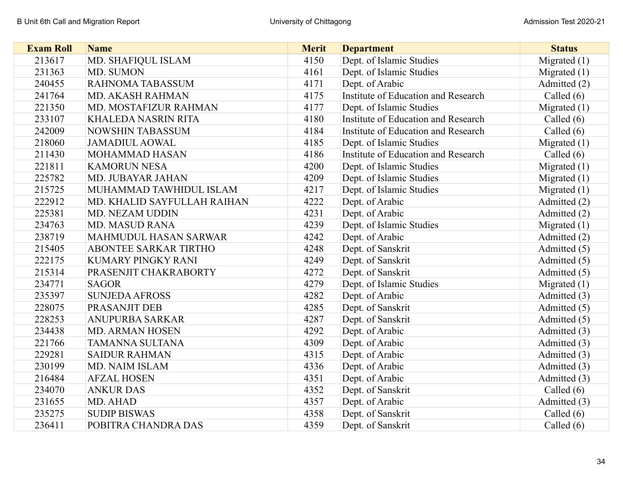| <b>Exam Roll</b> | <b>Name</b>                 | <b>Merit</b> | <b>Department</b>                   | <b>Status</b>  |
|------------------|-----------------------------|--------------|-------------------------------------|----------------|
| 213617           | MD. SHAFIQUL ISLAM          | 4150         | Dept. of Islamic Studies            | Migrated $(1)$ |
| 231363           | MD. SUMON                   | 4161         | Dept. of Islamic Studies            | Migrated $(1)$ |
| 240455           | RAHNOMA TABASSUM            | 4171         | Dept. of Arabic                     | Admitted (2)   |
| 241764           | MD. AKASH RAHMAN            | 4175         | Institute of Education and Research | Called $(6)$   |
| 221350           | MD. MOSTAFIZUR RAHMAN       | 4177         | Dept. of Islamic Studies            | Migrated $(1)$ |
| 233107           | <b>KHALEDA NASRIN RITA</b>  | 4180         | Institute of Education and Research | Called $(6)$   |
| 242009           | <b>NOWSHIN TABASSUM</b>     | 4184         | Institute of Education and Research | Called $(6)$   |
| 218060           | <b>JAMADIUL AOWAL</b>       | 4185         | Dept. of Islamic Studies            | Migrated $(1)$ |
| 211430           | MOHAMMAD HASAN              | 4186         | Institute of Education and Research | Called $(6)$   |
| 221811           | <b>KAMORUN NESA</b>         | 4200         | Dept. of Islamic Studies            | Migrated $(1)$ |
| 225782           | MD. JUBAYAR JAHAN           | 4209         | Dept. of Islamic Studies            | Migrated $(1)$ |
| 215725           | MUHAMMAD TAWHIDUL ISLAM     | 4217         | Dept. of Islamic Studies            | Migrated (1)   |
| 222912           | MD. KHALID SAYFULLAH RAIHAN | 4222         | Dept. of Arabic                     | Admitted (2)   |
| 225381           | MD. NEZAM UDDIN             | 4231         | Dept. of Arabic                     | Admitted (2)   |
| 234763           | <b>MD. MASUD RANA</b>       | 4239         | Dept. of Islamic Studies            | Migrated $(1)$ |
| 238719           | MAHMUDUL HASAN SARWAR       | 4242         | Dept. of Arabic                     | Admitted (2)   |
| 215405           | ABONTEE SARKAR TIRTHO       | 4248         | Dept. of Sanskrit                   | Admitted (5)   |
| 222175           | KUMARY PINGKY RANI          | 4249         | Dept. of Sanskrit                   | Admitted (5)   |
| 215314           | PRASENJIT CHAKRABORTY       | 4272         | Dept. of Sanskrit                   | Admitted (5)   |
| 234771           | <b>SAGOR</b>                | 4279         | Dept. of Islamic Studies            | Migrated $(1)$ |
| 235397           | <b>SUNJEDA AFROSS</b>       | 4282         | Dept. of Arabic                     | Admitted (3)   |
| 228075           | PRASANJIT DEB               | 4285         | Dept. of Sanskrit                   | Admitted (5)   |
| 228253           | <b>ANUPURBA SARKAR</b>      | 4287         | Dept. of Sanskrit                   | Admitted (5)   |
| 234438           | <b>MD. ARMAN HOSEN</b>      | 4292         | Dept. of Arabic                     | Admitted (3)   |
| 221766           | <b>TAMANNA SULTANA</b>      | 4309         | Dept. of Arabic                     | Admitted (3)   |
| 229281           | <b>SAIDUR RAHMAN</b>        | 4315         | Dept. of Arabic                     | Admitted (3)   |
| 230199           | MD. NAIM ISLAM              | 4336         | Dept. of Arabic                     | Admitted (3)   |
| 216484           | <b>AFZAL HOSEN</b>          | 4351         | Dept. of Arabic                     | Admitted (3)   |
| 234070           | <b>ANKUR DAS</b>            | 4352         | Dept. of Sanskrit                   | Called $(6)$   |
| 231655           | MD. AHAD                    | 4357         | Dept. of Arabic                     | Admitted (3)   |
| 235275           | <b>SUDIP BISWAS</b>         | 4358         | Dept. of Sanskrit                   | Called $(6)$   |
| 236411           | POBITRA CHANDRA DAS         | 4359         | Dept. of Sanskrit                   | Called (6)     |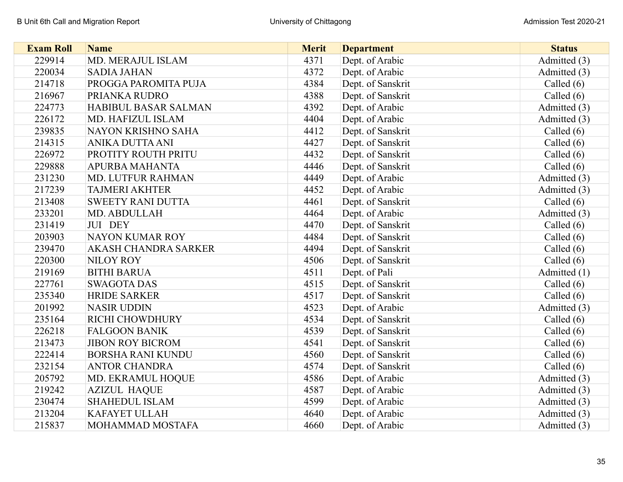| <b>Exam Roll</b> | <b>Name</b>              | <b>Merit</b> | <b>Department</b> | <b>Status</b> |
|------------------|--------------------------|--------------|-------------------|---------------|
| 229914           | MD. MERAJUL ISLAM        | 4371         | Dept. of Arabic   | Admitted (3)  |
| 220034           | <b>SADIA JAHAN</b>       | 4372         | Dept. of Arabic   | Admitted (3)  |
| 214718           | PROGGA PAROMITA PUJA     | 4384         | Dept. of Sanskrit | Called $(6)$  |
| 216967           | PRIANKA RUDRO            | 4388         | Dept. of Sanskrit | Called $(6)$  |
| 224773           | HABIBUL BASAR SALMAN     | 4392         | Dept. of Arabic   | Admitted (3)  |
| 226172           | MD. HAFIZUL ISLAM        | 4404         | Dept. of Arabic   | Admitted (3)  |
| 239835           | NAYON KRISHNO SAHA       | 4412         | Dept. of Sanskrit | Called $(6)$  |
| 214315           | ANIKA DUTTA ANI          | 4427         | Dept. of Sanskrit | Called $(6)$  |
| 226972           | PROTITY ROUTH PRITU      | 4432         | Dept. of Sanskrit | Called $(6)$  |
| 229888           | <b>APURBA MAHANTA</b>    | 4446         | Dept. of Sanskrit | Called $(6)$  |
| 231230           | MD. LUTFUR RAHMAN        | 4449         | Dept. of Arabic   | Admitted (3)  |
| 217239           | <b>TAJMERI AKHTER</b>    | 4452         | Dept. of Arabic   | Admitted (3)  |
| 213408           | <b>SWEETY RANI DUTTA</b> | 4461         | Dept. of Sanskrit | Called $(6)$  |
| 233201           | MD. ABDULLAH             | 4464         | Dept. of Arabic   | Admitted (3)  |
| 231419           | JUI DEY                  | 4470         | Dept. of Sanskrit | Called $(6)$  |
| 203903           | <b>NAYON KUMAR ROY</b>   | 4484         | Dept. of Sanskrit | Called (6)    |
| 239470           | AKASH CHANDRA SARKER     | 4494         | Dept. of Sanskrit | Called (6)    |
| 220300           | <b>NILOY ROY</b>         | 4506         | Dept. of Sanskrit | Called $(6)$  |
| 219169           | <b>BITHI BARUA</b>       | 4511         | Dept. of Pali     | Admitted (1)  |
| 227761           | <b>SWAGOTA DAS</b>       | 4515         | Dept. of Sanskrit | Called $(6)$  |
| 235340           | <b>HRIDE SARKER</b>      | 4517         | Dept. of Sanskrit | Called $(6)$  |
| 201992           | <b>NASIR UDDIN</b>       | 4523         | Dept. of Arabic   | Admitted (3)  |
| 235164           | RICHI CHOWDHURY          | 4534         | Dept. of Sanskrit | Called $(6)$  |
| 226218           | <b>FALGOON BANIK</b>     | 4539         | Dept. of Sanskrit | Called $(6)$  |
| 213473           | <b>JIBON ROY BICROM</b>  | 4541         | Dept. of Sanskrit | Called $(6)$  |
| 222414           | <b>BORSHA RANI KUNDU</b> | 4560         | Dept. of Sanskrit | Called $(6)$  |
| 232154           | <b>ANTOR CHANDRA</b>     | 4574         | Dept. of Sanskrit | Called $(6)$  |
| 205792           | MD. EKRAMUL HOQUE        | 4586         | Dept. of Arabic   | Admitted (3)  |
| 219242           | <b>AZIZUL HAQUE</b>      | 4587         | Dept. of Arabic   | Admitted (3)  |
| 230474           | <b>SHAHEDUL ISLAM</b>    | 4599         | Dept. of Arabic   | Admitted (3)  |
| 213204           | <b>KAFAYET ULLAH</b>     | 4640         | Dept. of Arabic   | Admitted (3)  |
| 215837           | MOHAMMAD MOSTAFA         | 4660         | Dept. of Arabic   | Admitted (3)  |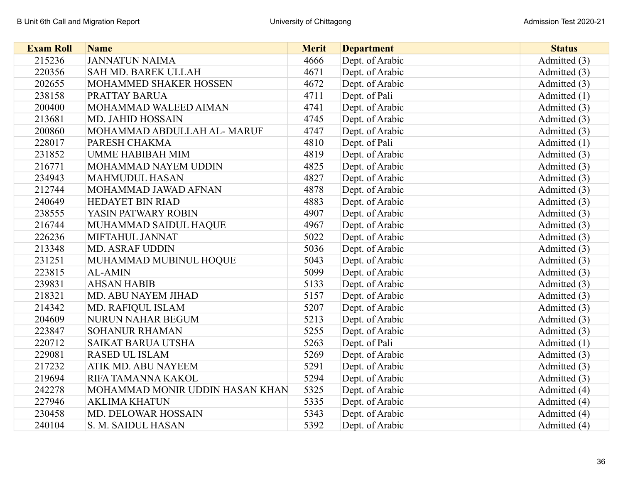| <b>Exam Roll</b> | <b>Name</b>                     | <b>Merit</b> | <b>Department</b> | <b>Status</b> |
|------------------|---------------------------------|--------------|-------------------|---------------|
| 215236           | <b>JANNATUN NAIMA</b>           | 4666         | Dept. of Arabic   | Admitted (3)  |
| 220356           | SAH MD. BAREK ULLAH             | 4671         | Dept. of Arabic   | Admitted (3)  |
| 202655           | MOHAMMED SHAKER HOSSEN          | 4672         | Dept. of Arabic   | Admitted (3)  |
| 238158           | PRATTAY BARUA                   | 4711         | Dept. of Pali     | Admitted (1)  |
| 200400           | MOHAMMAD WALEED AIMAN           | 4741         | Dept. of Arabic   | Admitted (3)  |
| 213681           | <b>MD. JAHID HOSSAIN</b>        | 4745         | Dept. of Arabic   | Admitted (3)  |
| 200860           | MOHAMMAD ABDULLAH AL- MARUF     | 4747         | Dept. of Arabic   | Admitted (3)  |
| 228017           | PARESH CHAKMA                   | 4810         | Dept. of Pali     | Admitted (1)  |
| 231852           | <b>UMME HABIBAH MIM</b>         | 4819         | Dept. of Arabic   | Admitted (3)  |
| 216771           | MOHAMMAD NAYEM UDDIN            | 4825         | Dept. of Arabic   | Admitted (3)  |
| 234943           | <b>MAHMUDUL HASAN</b>           | 4827         | Dept. of Arabic   | Admitted (3)  |
| 212744           | MOHAMMAD JAWAD AFNAN            | 4878         | Dept. of Arabic   | Admitted (3)  |
| 240649           | <b>HEDAYET BIN RIAD</b>         | 4883         | Dept. of Arabic   | Admitted (3)  |
| 238555           | YASIN PATWARY ROBIN             | 4907         | Dept. of Arabic   | Admitted (3)  |
| 216744           | MUHAMMAD SAIDUL HAQUE           | 4967         | Dept. of Arabic   | Admitted (3)  |
| 226236           | MIFTAHUL JANNAT                 | 5022         | Dept. of Arabic   | Admitted (3)  |
| 213348           | <b>MD. ASRAF UDDIN</b>          | 5036         | Dept. of Arabic   | Admitted (3)  |
| 231251           | MUHAMMAD MUBINUL HOQUE          | 5043         | Dept. of Arabic   | Admitted (3)  |
| 223815           | <b>AL-AMIN</b>                  | 5099         | Dept. of Arabic   | Admitted (3)  |
| 239831           | <b>AHSAN HABIB</b>              | 5133         | Dept. of Arabic   | Admitted (3)  |
| 218321           | MD. ABU NAYEM JIHAD             | 5157         | Dept. of Arabic   | Admitted (3)  |
| 214342           | MD. RAFIQUL ISLAM               | 5207         | Dept. of Arabic   | Admitted (3)  |
| 204609           | <b>NURUN NAHAR BEGUM</b>        | 5213         | Dept. of Arabic   | Admitted (3)  |
| 223847           | <b>SOHANUR RHAMAN</b>           | 5255         | Dept. of Arabic   | Admitted (3)  |
| 220712           | <b>SAIKAT BARUA UTSHA</b>       | 5263         | Dept. of Pali     | Admitted (1)  |
| 229081           | <b>RASED UL ISLAM</b>           | 5269         | Dept. of Arabic   | Admitted (3)  |
| 217232           | ATIK MD. ABU NAYEEM             | 5291         | Dept. of Arabic   | Admitted (3)  |
| 219694           | RIFA TAMANNA KAKOL              | 5294         | Dept. of Arabic   | Admitted (3)  |
| 242278           | MOHAMMAD MONIR UDDIN HASAN KHAN | 5325         | Dept. of Arabic   | Admitted (4)  |
| 227946           | <b>AKLIMA KHATUN</b>            | 5335         | Dept. of Arabic   | Admitted (4)  |
| 230458           | MD. DELOWAR HOSSAIN             | 5343         | Dept. of Arabic   | Admitted (4)  |
| 240104           | S. M. SAIDUL HASAN              | 5392         | Dept. of Arabic   | Admitted (4)  |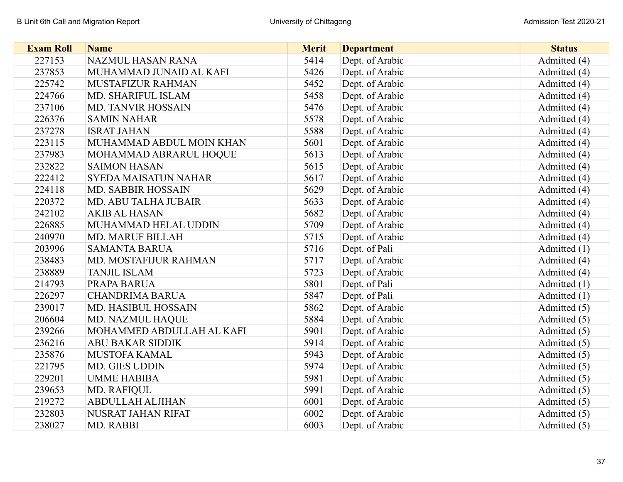| <b>Exam Roll</b> | <b>Name</b>                 | <b>Merit</b> | <b>Department</b> | <b>Status</b> |
|------------------|-----------------------------|--------------|-------------------|---------------|
| 227153           | NAZMUL HASAN RANA           | 5414         | Dept. of Arabic   | Admitted (4)  |
| 237853           | MUHAMMAD JUNAID AL KAFI     | 5426         | Dept. of Arabic   | Admitted (4)  |
| 225742           | MUSTAFIZUR RAHMAN           | 5452         | Dept. of Arabic   | Admitted (4)  |
| 224766           | MD. SHARIFUL ISLAM          | 5458         | Dept. of Arabic   | Admitted (4)  |
| 237106           | <b>MD. TANVIR HOSSAIN</b>   | 5476         | Dept. of Arabic   | Admitted (4)  |
| 226376           | <b>SAMIN NAHAR</b>          | 5578         | Dept. of Arabic   | Admitted (4)  |
| 237278           | <b>ISRAT JAHAN</b>          | 5588         | Dept. of Arabic   | Admitted (4)  |
| 223115           | MUHAMMAD ABDUL MOIN KHAN    | 5601         | Dept. of Arabic   | Admitted (4)  |
| 237983           | MOHAMMAD ABRARUL HOQUE      | 5613         | Dept. of Arabic   | Admitted (4)  |
| 232822           | <b>SAIMON HASAN</b>         | 5615         | Dept. of Arabic   | Admitted (4)  |
| 222412           | <b>SYEDA MAISATUN NAHAR</b> | 5617         | Dept. of Arabic   | Admitted (4)  |
| 224118           | MD. SABBIR HOSSAIN          | 5629         | Dept. of Arabic   | Admitted (4)  |
| 220372           | MD. ABU TALHA JUBAIR        | 5633         | Dept. of Arabic   | Admitted (4)  |
| 242102           | <b>AKIB AL HASAN</b>        | 5682         | Dept. of Arabic   | Admitted (4)  |
| 226885           | MUHAMMAD HELAL UDDIN        | 5709         | Dept. of Arabic   | Admitted (4)  |
| 240970           | <b>MD. MARUF BILLAH</b>     | 5715         | Dept. of Arabic   | Admitted (4)  |
| 203996           | <b>SAMANTA BARUA</b>        | 5716         | Dept. of Pali     | Admitted (1)  |
| 238483           | MD. MOSTAFIJUR RAHMAN       | 5717         | Dept. of Arabic   | Admitted (4)  |
| 238889           | <b>TANJIL ISLAM</b>         | 5723         | Dept. of Arabic   | Admitted (4)  |
| 214793           | PRAPA BARUA                 | 5801         | Dept. of Pali     | Admitted (1)  |
| 226297           | <b>CHANDRIMA BARUA</b>      | 5847         | Dept. of Pali     | Admitted (1)  |
| 239017           | MD. HASIBUL HOSSAIN         | 5862         | Dept. of Arabic   | Admitted (5)  |
| 206604           | MD. NAZMUL HAQUE            | 5884         | Dept. of Arabic   | Admitted (5)  |
| 239266           | MOHAMMED ABDULLAH AL KAFI   | 5901         | Dept. of Arabic   | Admitted (5)  |
| 236216           | <b>ABU BAKAR SIDDIK</b>     | 5914         | Dept. of Arabic   | Admitted (5)  |
| 235876           | MUSTOFA KAMAL               | 5943         | Dept. of Arabic   | Admitted (5)  |
| 221795           | <b>MD. GIES UDDIN</b>       | 5974         | Dept. of Arabic   | Admitted (5)  |
| 229201           | <b>UMME HABIBA</b>          | 5981         | Dept. of Arabic   | Admitted (5)  |
| 239653           | MD. RAFIQUL                 | 5991         | Dept. of Arabic   | Admitted (5)  |
| 219272           | <b>ABDULLAH ALJIHAN</b>     | 6001         | Dept. of Arabic   | Admitted (5)  |
| 232803           | NUSRAT JAHAN RIFAT          | 6002         | Dept. of Arabic   | Admitted (5)  |
| 238027           | MD. RABBI                   | 6003         | Dept. of Arabic   | Admitted (5)  |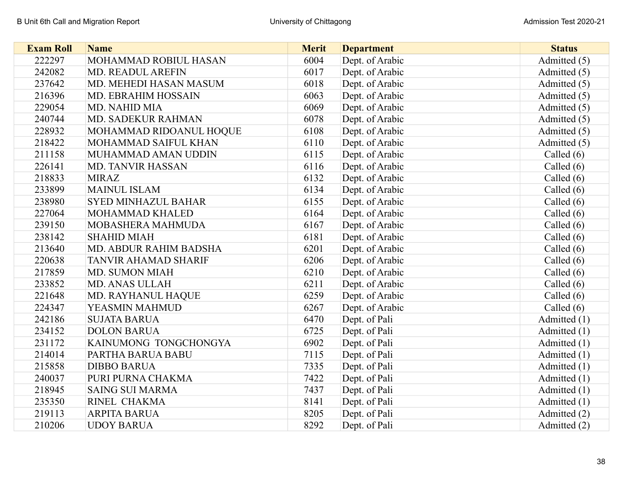| <b>Exam Roll</b> | <b>Name</b>                | <b>Merit</b> | <b>Department</b> | <b>Status</b> |
|------------------|----------------------------|--------------|-------------------|---------------|
| 222297           | MOHAMMAD ROBIUL HASAN      | 6004         | Dept. of Arabic   | Admitted (5)  |
| 242082           | MD. READUL AREFIN          | 6017         | Dept. of Arabic   | Admitted (5)  |
| 237642           | MD. MEHEDI HASAN MASUM     | 6018         | Dept. of Arabic   | Admitted (5)  |
| 216396           | MD. EBRAHIM HOSSAIN        | 6063         | Dept. of Arabic   | Admitted (5)  |
| 229054           | MD. NAHID MIA              | 6069         | Dept. of Arabic   | Admitted (5)  |
| 240744           | MD. SADEKUR RAHMAN         | 6078         | Dept. of Arabic   | Admitted (5)  |
| 228932           | MOHAMMAD RIDOANUL HOQUE    | 6108         | Dept. of Arabic   | Admitted (5)  |
| 218422           | MOHAMMAD SAIFUL KHAN       | 6110         | Dept. of Arabic   | Admitted (5)  |
| 211158           | MUHAMMAD AMAN UDDIN        | 6115         | Dept. of Arabic   | Called $(6)$  |
| 226141           | <b>MD. TANVIR HASSAN</b>   | 6116         | Dept. of Arabic   | Called (6)    |
| 218833           | <b>MIRAZ</b>               | 6132         | Dept. of Arabic   | Called (6)    |
| 233899           | <b>MAINUL ISLAM</b>        | 6134         | Dept. of Arabic   | Called $(6)$  |
| 238980           | <b>SYED MINHAZUL BAHAR</b> | 6155         | Dept. of Arabic   | Called $(6)$  |
| 227064           | MOHAMMAD KHALED            | 6164         | Dept. of Arabic   | Called $(6)$  |
| 239150           | MOBASHERA MAHMUDA          | 6167         | Dept. of Arabic   | Called $(6)$  |
| 238142           | <b>SHAHID MIAH</b>         | 6181         | Dept. of Arabic   | Called $(6)$  |
| 213640           | MD. ABDUR RAHIM BADSHA     | 6201         | Dept. of Arabic   | Called $(6)$  |
| 220638           | TANVIR AHAMAD SHARIF       | 6206         | Dept. of Arabic   | Called $(6)$  |
| 217859           | <b>MD. SUMON MIAH</b>      | 6210         | Dept. of Arabic   | Called $(6)$  |
| 233852           | MD. ANAS ULLAH             | 6211         | Dept. of Arabic   | Called $(6)$  |
| 221648           | MD. RAYHANUL HAQUE         | 6259         | Dept. of Arabic   | Called $(6)$  |
| 224347           | YEASMIN MAHMUD             | 6267         | Dept. of Arabic   | Called $(6)$  |
| 242186           | <b>SUJATA BARUA</b>        | 6470         | Dept. of Pali     | Admitted (1)  |
| 234152           | <b>DOLON BARUA</b>         | 6725         | Dept. of Pali     | Admitted (1)  |
| 231172           | KAINUMONG TONGCHONGYA      | 6902         | Dept. of Pali     | Admitted (1)  |
| 214014           | PARTHA BARUA BABU          | 7115         | Dept. of Pali     | Admitted (1)  |
| 215858           | <b>DIBBO BARUA</b>         | 7335         | Dept. of Pali     | Admitted (1)  |
| 240037           | PURI PURNA CHAKMA          | 7422         | Dept. of Pali     | Admitted (1)  |
| 218945           | <b>SAING SUI MARMA</b>     | 7437         | Dept. of Pali     | Admitted (1)  |
| 235350           | RINEL CHAKMA               | 8141         | Dept. of Pali     | Admitted (1)  |
| 219113           | <b>ARPITA BARUA</b>        | 8205         | Dept. of Pali     | Admitted (2)  |
| 210206           | <b>UDOY BARUA</b>          | 8292         | Dept. of Pali     | Admitted (2)  |